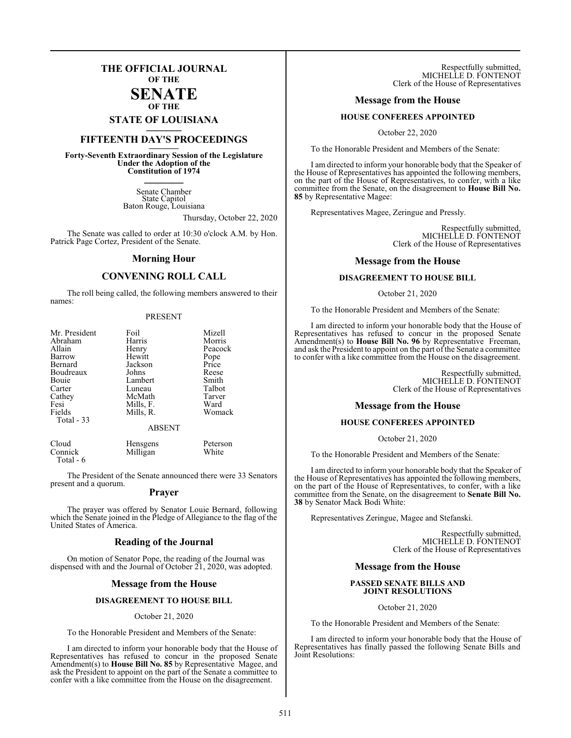## **THE OFFICIAL JOURNAL OF THE SENATE**

**OF THE**

# **STATE OF LOUISIANA \_\_\_\_\_\_\_**

# **FIFTEENTH DAY'S PROCEEDINGS \_\_\_\_\_\_\_**

**Forty-Seventh Extraordinary Session of the Legislature Under the Adoption of the Constitution of 1974 \_\_\_\_\_\_\_**

> Senate Chamber State Capitol Baton Rouge, Louisiana

> > Thursday, October 22, 2020

The Senate was called to order at 10:30 o'clock A.M. by Hon. Patrick Page Cortez, President of the Senate.

#### **Morning Hour**

#### **CONVENING ROLL CALL**

The roll being called, the following members answered to their names:

#### PRESENT

| Mr. President | Foil          | Mizell  |
|---------------|---------------|---------|
| Abraham       | Harris        | Morris  |
| Allain        | Henry         | Peacock |
| Barrow        | Hewitt        | Pope    |
| Bernard       | Jackson       | Price   |
| Boudreaux     | Johns         | Reese   |
| Bouie         | Lambert       | Smith   |
| Carter        | Luneau        | Talbot  |
| Cathey        | McMath        | Tarver  |
| Fesi          | Mills, F.     | Ward    |
| Fields        | Mills, R.     | Womack  |
| Total $-33$   |               |         |
|               | <b>ABSENT</b> |         |

| Cloud     | Hensgens | Peterson |
|-----------|----------|----------|
| Connick   | Milligan | White    |
| Total - 6 |          |          |

The President of the Senate announced there were 33 Senators present and a quorum.

#### **Prayer**

The prayer was offered by Senator Louie Bernard, following which the Senate joined in the Pledge of Allegiance to the flag of the United States of America.

#### **Reading of the Journal**

On motion of Senator Pope, the reading of the Journal was dispensed with and the Journal of October 21, 2020, was adopted.

#### **Message from the House**

#### **DISAGREEMENT TO HOUSE BILL**

#### October 21, 2020

To the Honorable President and Members of the Senate:

I am directed to inform your honorable body that the House of Representatives has refused to concur in the proposed Senate Amendment(s) to **House Bill No. 85** by Representative Magee, and ask the President to appoint on the part of the Senate a committee to confer with a like committee from the House on the disagreement.

Respectfully submitted, MICHELLE D. FONTENOT Clerk of the House of Representatives

#### **Message from the House**

#### **HOUSE CONFEREES APPOINTED**

October 22, 2020

To the Honorable President and Members of the Senate:

I am directed to inform your honorable body that the Speaker of the House of Representatives has appointed the following members, on the part of the House of Representatives, to confer, with a like committee from the Senate, on the disagreement to **House Bill No. 85** by Representative Magee:

Representatives Magee, Zeringue and Pressly.

Respectfully submitted, MICHELLE D. FONTENOT Clerk of the House of Representatives

#### **Message from the House**

#### **DISAGREEMENT TO HOUSE BILL**

October 21, 2020

To the Honorable President and Members of the Senate:

I am directed to inform your honorable body that the House of Representatives has refused to concur in the proposed Senate Amendment(s) to **House Bill No. 96** by Representative Freeman, and ask the President to appoint on the part of the Senate a committee to confer with a like committee from the House on the disagreement.

> Respectfully submitted, MICHELLE D. FONTENOT Clerk of the House of Representatives

#### **Message from the House**

#### **HOUSE CONFEREES APPOINTED**

October 21, 2020

To the Honorable President and Members of the Senate:

I am directed to inform your honorable body that the Speaker of the House of Representatives has appointed the following members, on the part of the House of Representatives, to confer, with a like committee from the Senate, on the disagreement to **Senate Bill No. 38** by Senator Mack Bodi White:

Representatives Zeringue, Magee and Stefanski.

Respectfully submitted, MICHELLE D. FONTENOT Clerk of the House of Representatives

#### **Message from the House**

#### **PASSED SENATE BILLS AND JOINT RESOLUTIONS**

October 21, 2020

To the Honorable President and Members of the Senate:

I am directed to inform your honorable body that the House of Representatives has finally passed the following Senate Bills and Joint Resolutions: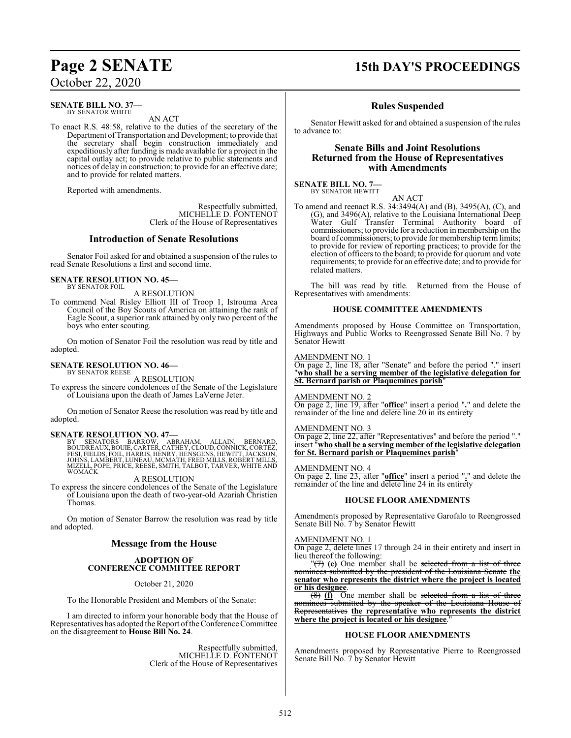#### **SENATE BILL NO. 37—** BY SENATOR WHITE

AN ACT

To enact R.S. 48:58, relative to the duties of the secretary of the Department of Transportation and Development; to provide that the secretary shall begin construction immediately and expeditiously after funding is made available for a project in the capital outlay act; to provide relative to public statements and notices of delay in construction; to provide for an effective date; and to provide for related matters.

Reported with amendments.

Respectfully submitted, MICHELLE D. FONTENOT Clerk of the House of Representatives

#### **Introduction of Senate Resolutions**

Senator Foil asked for and obtained a suspension of the rules to read Senate Resolutions a first and second time.

#### **SENATE RESOLUTION NO. 45—** BY SENATOR FOIL

A RESOLUTION

To commend Neal Risley Elliott III of Troop 1, Istrouma Area Council of the Boy Scouts of America on attaining the rank of Eagle Scout, a superior rank attained by only two percent of the boys who enter scouting.

On motion of Senator Foil the resolution was read by title and adopted.

#### **SENATE RESOLUTION NO. 46—** BY SENATOR REESE

A RESOLUTION

To express the sincere condolences of the Senate of the Legislature of Louisiana upon the death of James LaVerne Jeter.

On motion of Senator Reese the resolution was read by title and adopted.

### **SENATE RESOLUTION NO. 47—**

BY SENATORS BARROW, ABRAHAM, ALLAIN, BERNARD,<br>BOUDREAUX,BOUIE,CARTER,CATHEY,CLOUD,CONNICK,CORTEZ,<br>FESI,FIELDS,FOIL,HARRIS,HENRY,HENSGENS,HEWITT,JACKSON,<br>JOHNS,LAMBERT,LUNEAU,MCMATH,FRED\_MILLS,ROBERT\_MILLS, MIZELL, POPE, PRICE, REESE, SMITH, TALBOT, TARVER, WHITE AND WOMACK

A RESOLUTION

To express the sincere condolences of the Senate of the Legislature of Louisiana upon the death of two-year-old Azariah Christien Thomas.

On motion of Senator Barrow the resolution was read by title and adopted.

## **Message from the House**

#### **ADOPTION OF CONFERENCE COMMITTEE REPORT**

October 21, 2020

To the Honorable President and Members of the Senate:

I am directed to inform your honorable body that the House of Representatives has adopted the Report of the Conference Committee on the disagreement to **House Bill No. 24**.

> Respectfully submitted, MICHELLE D. FONTENOT Clerk of the House of Representatives

# **Page 2 SENATE 15th DAY'S PROCEEDINGS**

## **Rules Suspended**

Senator Hewitt asked for and obtained a suspension of the rules to advance to:

### **Senate Bills and Joint Resolutions Returned from the House of Representatives with Amendments**

#### **SENATE BILL NO. 7—** BY SENATOR HEWITT

AN ACT

To amend and reenact R.S. 34:3494(A) and (B), 3495(A), (C), and (G), and 3496(A), relative to the Louisiana International Deep Water Gulf Transfer Terminal Authority board of commissioners; to provide for a reduction in membership on the board of commissioners; to provide for membership termlimits; to provide for review of reporting practices; to provide for the election of officers to the board; to provide for quorum and vote requirements; to provide for an effective date; and to provide for related matters.

The bill was read by title. Returned from the House of Representatives with amendments:

#### **HOUSE COMMITTEE AMENDMENTS**

Amendments proposed by House Committee on Transportation, Highways and Public Works to Reengrossed Senate Bill No. 7 by Senator Hewitt

#### AMENDMENT NO. 1

On page 2, line 18, after "Senate" and before the period "." insert "**who shall be a serving member of the legislative delegation for St. Bernard parish or Plaquemines parish**"

#### AMENDMENT NO. 2

On page 2, line 19, after "**office**" insert a period "**.**" and delete the remainder of the line and delete line 20 in its entirety

#### AMENDMENT NO. 3

On page 2, line 22, after "Representatives" and before the period "." insert "**who shall be a serving member of the legislative delegation for St. Bernard parish or Plaquemines parish**"

#### AMENDMENT NO. 4

On page 2, line 23, after "**office**" insert a period "**.**" and delete the remainder of the line and delete line 24 in its entirety

#### **HOUSE FLOOR AMENDMENTS**

Amendments proposed by Representative Garofalo to Reengrossed Senate Bill No. 7 by Senator Hewitt

#### AMENDMENT NO. 1

On page 2, delete lines 17 through 24 in their entirety and insert in lieu thereof the following:

"(7) **(e)** One member shall be selected from a list of three nominees submitted by the president of the Louisiana Senate **the senator who represents the district where the project is located or his designee**.

(8) **(f)** One member shall be selected from a list of three nominees submitted by the speaker of the Louisiana House of Representatives **the representative who represents the district** where the project is located or his designee.

#### **HOUSE FLOOR AMENDMENTS**

Amendments proposed by Representative Pierre to Reengrossed Senate Bill No. 7 by Senator Hewitt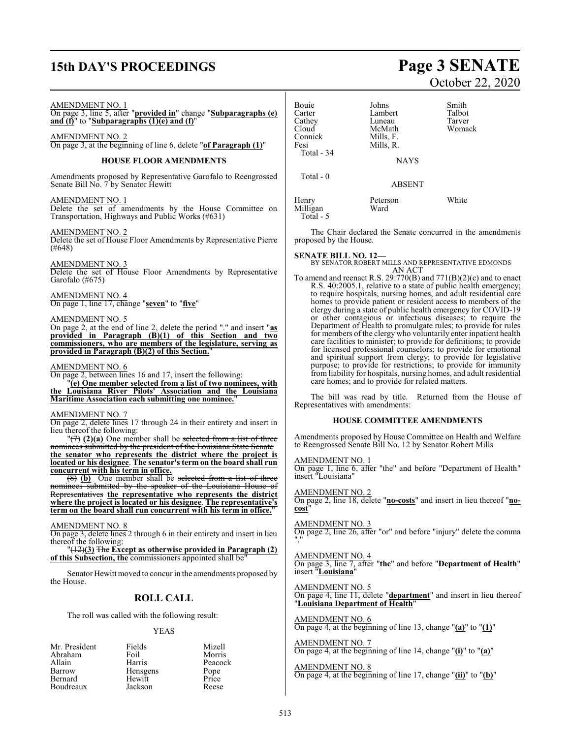# **15th DAY'S PROCEEDINGS Page 3 SENATE**

#### AMENDMENT NO. 1

On page 3, line 5, after "**provided in**" change "**Subparagraphs (e) and (f)**" to "**Subparagraphs (1)(e) and (f)**"

AMENDMENT NO. 2 On page 3, at the beginning of line 6, delete "**of Paragraph (1)**"

#### **HOUSE FLOOR AMENDMENTS**

Amendments proposed by Representative Garofalo to Reengrossed Senate Bill No. 7 by Senator Hewitt

#### AMENDMENT NO. 1

Delete the set of amendments by the House Committee on Transportation, Highways and Public Works (#631)

#### AMENDMENT NO. 2

Delete the set of House Floor Amendments by Representative Pierre (#648)

#### AMENDMENT NO. 3

Delete the set of House Floor Amendments by Representative Garofalo (#675)

#### AMENDMENT NO. 4

On page 1, line 17, change "**seven**" to "**five**"

#### AMENDMENT NO. 5

On page 2, at the end of line 2, delete the period "." and insert "**as provided in Paragraph (B)(1) of this Section and two commissioners, who are members of the legislature, serving as provided in Paragraph (B)(2) of this Section.**"

#### AMENDMENT NO. 6

On page 2, between lines 16 and 17, insert the following: "**(e) One member selected from a list of two nominees, with the Louisiana River Pilots' Association and the Louisiana**

## **Maritime Association each submitting one nominee.**"

#### AMENDMENT NO. 7

On page 2, delete lines 17 through 24 in their entirety and insert in lieu thereof the following:

 $\sqrt{(7)}$  (2)(a) One member shall be selected from a list of three nominees submitted by the president of the Louisiana State Senate **the senator who represents the district where the project is located or his designee**. **The senator's term on the board shall run concurrent with his term in office.**

(8) **(b)** One member shall be selected from a list of three nominees submitted by the speaker of the Louisiana House of Representatives **the representative who represents the district where the project is located or his designee**. **The representative's term on the board shall run concurrent with his term in office.**"

#### AMENDMENT NO. 8

On page 3, delete lines 2 through 6 in their entirety and insert in lieu thereof the following:

"(12)**(3)** The **Except as otherwise provided in Paragraph (2)** of this Subsection, the commissioners appointed shall be

Senator Hewitt moved to concur in the amendments proposed by the House.

### **ROLL CALL**

The roll was called with the following result:

#### YEAS

| Fields   | Mizell        |
|----------|---------------|
| Foil     | Morris        |
| Harris   | Peacock       |
| Hensgens | Pope<br>Price |
| Hewitt   |               |
| Jackson  | Reese         |
|          |               |

# October 22, 2020

| Bouie<br>Carter<br>Cathey<br>Cloud<br>Connick<br>Fesi<br>Total - 34 | Johns<br>Lambert<br>Luneau<br>McMath<br>Mills, F.<br>Mills, R.<br><b>NAYS</b> | Smith<br>Talbot<br>Tarver<br>Womack |
|---------------------------------------------------------------------|-------------------------------------------------------------------------------|-------------------------------------|
| Total $-0$                                                          | <b>ABSENT</b>                                                                 |                                     |
| Henry<br>Milligan<br>Total - 5                                      | Peterson<br>Ward                                                              | White                               |

The Chair declared the Senate concurred in the amendments proposed by the House.

#### **SENATE BILL NO. 12—**

BY SENATOR ROBERT MILLS AND REPRESENTATIVE EDMONDS AN ACT

To amend and reenact R.S.  $29:770(B)$  and  $771(B)(2)(c)$  and to enact R.S. 40:2005.1, relative to a state of public health emergency; to require hospitals, nursing homes, and adult residential care homes to provide patient or resident access to members of the clergy during a state of public health emergency for COVID-19 or other contagious or infectious diseases; to require the Department of Health to promulgate rules; to provide for rules for members of the clergy who voluntarily enter inpatient health care facilities to minister; to provide for definitions; to provide for licensed professional counselors; to provide for emotional and spiritual support from clergy; to provide for legislative purpose; to provide for restrictions; to provide for immunity from liability for hospitals, nursing homes, and adult residential care homes; and to provide for related matters.

The bill was read by title. Returned from the House of Representatives with amendments:

#### **HOUSE COMMITTEE AMENDMENTS**

Amendments proposed by House Committee on Health and Welfare to Reengrossed Senate Bill No. 12 by Senator Robert Mills

AMENDMENT NO. 1

On page 1, line 6, after "the" and before "Department of Health" insert "Louisiana"

#### AMENDMENT NO. 2

On page 2, line 18, delete "**no-costs**" and insert in lieu thereof "**nocost**"

#### AMENDMENT NO. 3

On page 2, line 26, after "or" and before "injury" delete the comma ","

#### AMENDMENT NO. 4

On page 3, line 7, after "**the**" and before "**Department of Health**" insert "**Louisiana**"

#### AMENDMENT NO. 5

On page 4, line 11, delete "**department**" and insert in lieu thereof "**Louisiana Department of Health**"

#### AMENDMENT NO. 6 On page 4, at the beginning of line 13, change "**(a)**" to "**(1)**"

AMENDMENT NO. 7 On page 4, at the beginning of line 14, change "**(i)**" to "**(a)**"

#### AMENDMENT NO. 8

On page 4, at the beginning of line 17, change "**(ii)**" to "**(b)**"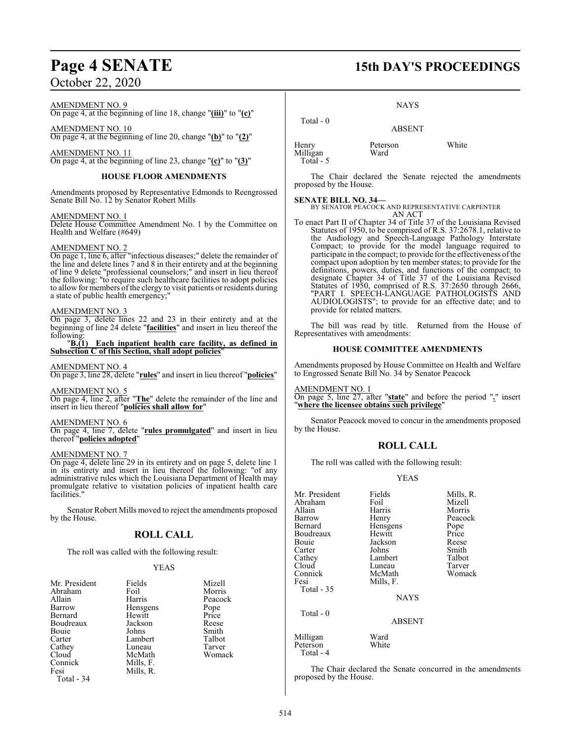#### AMENDMENT NO. 9

On page 4, at the beginning of line 18, change "**(iii)**" to "**(c)**"

AMENDMENT NO. 10 On page 4, at the beginning of line 20, change "**(b)**" to "**(2)**"

AMENDMENT NO. 11

On page 4, at the beginning of line 23, change "**(c)**" to "**(3)**"

#### **HOUSE FLOOR AMENDMENTS**

Amendments proposed by Representative Edmonds to Reengrossed Senate Bill No. 12 by Senator Robert Mills

#### AMENDMENT NO. 1

Delete House Committee Amendment No. 1 by the Committee on Health and Welfare (#649)

#### AMENDMENT NO. 2

On page 1, line 6, after "infectious diseases;" delete the remainder of the line and delete lines 7 and 8 in their entirety and at the beginning of line 9 delete "professional counselors;" and insert in lieu thereof the following: "to require such healthcare facilities to adopt policies to allow for members of the clergy to visit patients or residents during a state of public health emergency;

#### AMENDMENT NO. 3

On page 3, delete lines 22 and 23 in their entirety and at the beginning of line 24 delete "**facilities**" and insert in lieu thereof the

#### following:<br> $\underline{B.(1)}$ **Each inpatient health care facility, as defined in Subsection C of this Section, shall adopt policies**"

#### AMENDMENT NO. 4

On page 3, line 28, delete "**rules**" and insert in lieu thereof "**policies**"

#### AMENDMENT NO. 5

On page 4, line 2, after "**The**" delete the remainder of the line and insert in lieu thereof "**policies shall allow for**"

#### AMENDMENT NO. 6

On page 4, line 7, delete "**rules promulgated**" and insert in lieu thereof "**policies adopted**"

#### AMENDMENT NO. 7

On page 4, delete line 29 in its entirety and on page 5, delete line 1 in its entirety and insert in lieu thereof the following: "of any administrative rules which the Louisiana Department of Health may promulgate relative to visitation policies of inpatient health care facilities.

Senator Robert Mills moved to reject the amendments proposed by the House.

## **ROLL CALL**

The roll was called with the following result:

#### YEAS

| Mr. President | Fields    | Mizell  |
|---------------|-----------|---------|
| Abraham       | Foil      | Morris  |
| Allain        | Harris    | Peacock |
| Barrow        | Hensgens  | Pope    |
| Bernard       | Hewitt    | Price   |
| Boudreaux     | Jackson   | Reese   |
| Bouie         | Johns     | Smith   |
| Carter        | Lambert   | Talbot  |
| Cathey        | Luneau    | Tarver  |
| Cloud         | McMath    | Womack  |
| Connick       | Mills, F. |         |
| Fesi          | Mills, R. |         |
| Total - 34    |           |         |

# **Page 4 SENATE 15th DAY'S PROCEEDINGS**

NAYS

 Total - 0 ABSENT Henry Peterson White Milligan

The Chair declared the Senate rejected the amendments proposed by the House.

Total - 5

**SENATE BILL NO. 34—** BY SENATOR PEACOCK AND REPRESENTATIVE CARPENTER AN ACT

To enact Part II of Chapter 34 of Title 37 of the Louisiana Revised Statutes of 1950, to be comprised of R.S. 37:2678.1, relative to the Audiology and Speech-Language Pathology Interstate Compact; to provide for the model language required to participate in the compact; to provide for the effectiveness ofthe compact upon adoption by ten member states; to provide for the definitions, powers, duties, and functions of the compact; to designate Chapter 34 of Title 37 of the Louisiana Revised Statutes of 1950, comprised of R.S. 37:2650 through 2666, "PART I. SPEECH-LANGUAGE PATHOLOGISTS AND AUDIOLOGISTS"; to provide for an effective date; and to provide for related matters.

The bill was read by title. Returned from the House of Representatives with amendments:

#### **HOUSE COMMITTEE AMENDMENTS**

Amendments proposed by House Committee on Health and Welfare to Engrossed Senate Bill No. 34 by Senator Peacock

#### AMENDMENT NO. 1

On page 5, line 27, after "**state**" and before the period "**.**" insert "**where the licensee obtains such privilege**"

Senator Peacock moved to concur in the amendments proposed by the House.

#### **ROLL CALL**

The roll was called with the following result:

#### YEAS

|               | Mills, R.                                     |
|---------------|-----------------------------------------------|
|               | Mizell                                        |
|               | Morris                                        |
|               |                                               |
|               | Peacock                                       |
|               | Pope                                          |
| Hewitt        | Price                                         |
| Jackson       | Reese                                         |
| Johns         | Smith                                         |
| Lambert       | Talbot                                        |
| Luneau        | Tarver                                        |
| McMath        | Womack                                        |
| Mills, F.     |                                               |
|               |                                               |
| <b>NAYS</b>   |                                               |
|               |                                               |
| <b>ABSENT</b> |                                               |
| Ward          |                                               |
| White         |                                               |
|               | Fields<br>Foil<br>Harris<br>Henry<br>Hensgens |

The Chair declared the Senate concurred in the amendments proposed by the House.

Total - 4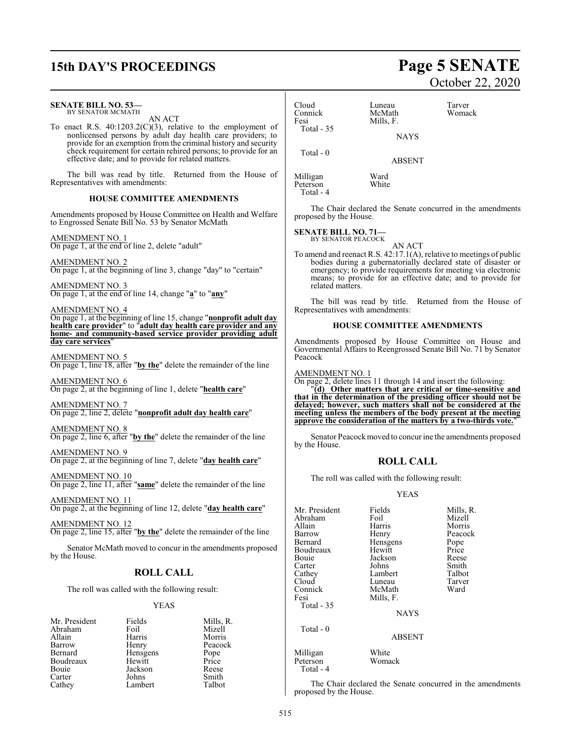# **15th DAY'S PROCEEDINGS Page 5 SENATE**

#### **SENATE BILL NO. 53—**

BY SENATOR MCMATH AN ACT

To enact R.S. 40:1203.2(C)(3), relative to the employment of nonlicensed persons by adult day health care providers; to provide for an exemption from the criminal history and security check requirement for certain rehired persons; to provide for an effective date; and to provide for related matters.

The bill was read by title. Returned from the House of Representatives with amendments:

#### **HOUSE COMMITTEE AMENDMENTS**

Amendments proposed by House Committee on Health and Welfare to Engrossed Senate Bill No. 53 by Senator McMath

AMENDMENT NO. 1 On page 1, at the end of line 2, delete "adult"

AMENDMENT NO. 2 On page 1, at the beginning of line 3, change "day" to "certain"

AMENDMENT NO. 3 On page 1, at the end of line 14, change "**a**" to "**any**"

#### AMENDMENT NO. 4

On page 1, at the beginning of line 15, change "**nonprofit adult day health care provider**" to "**adult day health care provider and any home- and community-based service provider providing adult day care services**"

#### AMENDMENT NO. 5

On page 1, line 18, after "**by the**" delete the remainder of the line

AMENDMENT NO. 6 On page 2, at the beginning of line 1, delete "**health care**"

AMENDMENT NO. 7 On page 2, line 2, delete "**nonprofit adult day health care**"

AMENDMENT NO. 8 On page 2, line 6, after "**by the**" delete the remainder of the line

AMENDMENT NO. 9 On page 2, at the beginning of line 7, delete "**day health care**"

AMENDMENT NO. 10

On page 2, line 11, after "**same**" delete the remainder of the line

AMENDMENT NO. 11 On page 2, at the beginning of line 12, delete "**day health care**"

AMENDMENT NO. 12 On page 2, line 15, after "**by the**" delete the remainder of the line

Senator McMath moved to concur in the amendments proposed

by the House.

#### **ROLL CALL**

The roll was called with the following result:

#### YEAS

| Mr. President | Fields   | Mills, R.     |
|---------------|----------|---------------|
| Abraham       | Foil     | Mizell        |
| Allain        | Harris   | Morris        |
| Barrow        | Henry    | Peacock       |
| Bernard       | Hensgens |               |
| Boudreaux     | Hewitt   | Pope<br>Price |
| Bouie         | Jackson  | Reese         |
| Carter        | Johns    | Smith         |
| Cathey        | Lambert  | Talbot        |

# October 22, 2020

| Cloud<br>Connick<br>Fesi<br>Total $-35$ | Luneau<br>McMath<br>Mills, F.<br><b>NAYS</b> | Tarver<br>Womack |
|-----------------------------------------|----------------------------------------------|------------------|
|                                         |                                              |                  |
| Total $-0$                              | <b>ABSENT</b>                                |                  |
| Milligan<br>Peterson                    | Ward<br>White                                |                  |

The Chair declared the Senate concurred in the amendments proposed by the House.

## **SENATE BILL NO. 71—**<br>BY SENATOR PEACOCK

Total - 4

AN ACT

To amend and reenact R.S. 42:17.1(A), relative to meetings of public bodies during a gubernatorially declared state of disaster or emergency; to provide requirements for meeting via electronic means; to provide for an effective date; and to provide for related matters.

The bill was read by title. Returned from the House of Representatives with amendments:

#### **HOUSE COMMITTEE AMENDMENTS**

Amendments proposed by House Committee on House and Governmental Affairs to Reengrossed Senate Bill No. 71 by Senator Peacock

#### AMENDMENT NO. 1

On page 2, delete lines 11 through 14 and insert the following:

"**(d) Other matters that are critical or time-sensitive and that in the determination of the presiding officer should not be delayed; however, such matters shall not be considered at the meeting unless the members of the body present at the meeting approve the consideration of the matters by a two-thirds vote.**"

Senator Peacock moved to concur ine the amendments proposed by the House.

#### **ROLL CALL**

The roll was called with the following result:

#### YEAS

| Mr. President | Fields      | Mills, |
|---------------|-------------|--------|
| Abraham       | Foil        | Mizell |
| Allain        | Harris      | Morris |
| Barrow        | Henry       | Peaco  |
| Bernard       | Hensgens    | Pope   |
| Boudreaux     | Hewitt      | Price  |
| Bouie         | Jackson     | Reese  |
| Carter        | Johns       | Smith  |
| Cathey        | Lambert     | Talbot |
| Cloud         | Luneau      | Tarver |
| Connick       | McMath      | Ward   |
| Fesi          | Mills, F.   |        |
| Total - 35    |             |        |
|               | <b>NAYS</b> |        |
|               |             |        |

Total - 0

Fields Mills, R.<br>Foil Mizell Harris Morris<br>
Henry Peacoc Peacock<br>Pope Hensgens Pope<br>Hewitt Price Hewitt Price<br>Jackson Reese Jackson Reese<br>Johns Smith Lambert Talbot<br>
Luneau Tarver Luneau Tarver<br>McMath Ward

## ABSENT

Milligan White<br>Peterson Womack Peterson Total - 4

The Chair declared the Senate concurred in the amendments proposed by the House.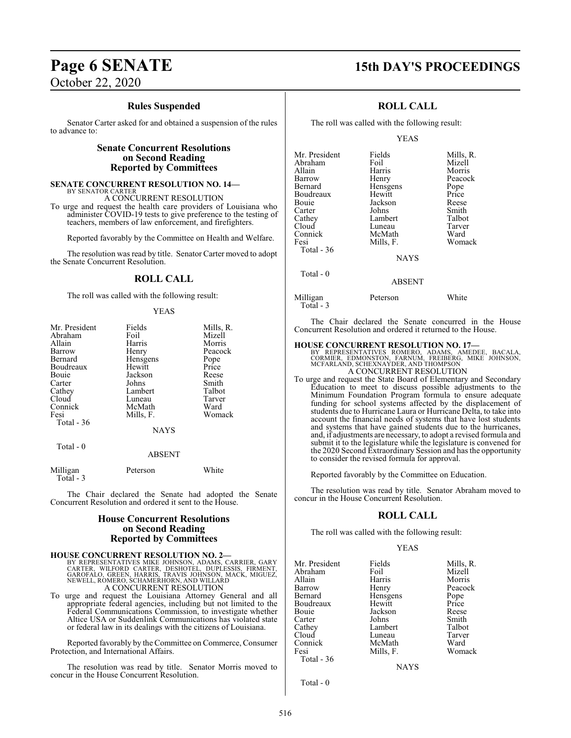#### **Rules Suspended**

Senator Carter asked for and obtained a suspension of the rules to advance to:

#### **Senate Concurrent Resolutions on Second Reading Reported by Committees**

#### **SENATE CONCURRENT RESOLUTION NO. 14—** BY SENATOR CARTER

A CONCURRENT RESOLUTION

To urge and request the health care providers of Louisiana who administer COVID-19 tests to give preference to the testing of teachers, members of law enforcement, and firefighters.

Reported favorably by the Committee on Health and Welfare.

The resolution was read by title. Senator Carter moved to adopt the Senate Concurrent Resolution.

#### **ROLL CALL**

The roll was called with the following result:

#### YEAS

| Mr. President<br>Abraham<br>Allain<br>Barrow<br>Bernard<br>Boudreaux<br>Bouie<br>Carter<br>Cathey<br>Cloud<br>Connick<br>Fesi<br>Total $-36$ | Fields<br>Foil<br>Harris<br>Henry<br>Hensgens<br>Hewitt<br>Jackson<br>Johns<br>Lambert<br>Luneau<br>McMath<br>Mills, F.<br><b>NAYS</b> | Mills, R.<br>Mizell<br>Morris<br>Peacock<br>Pope<br>Price<br>Reese<br>Smith<br>Talbot<br>Tarver<br>Ward<br>Womack |
|----------------------------------------------------------------------------------------------------------------------------------------------|----------------------------------------------------------------------------------------------------------------------------------------|-------------------------------------------------------------------------------------------------------------------|
| Total $-0$                                                                                                                                   |                                                                                                                                        |                                                                                                                   |
|                                                                                                                                              | <b>ABSENT</b>                                                                                                                          |                                                                                                                   |
| Milligan                                                                                                                                     | Peterson                                                                                                                               | White                                                                                                             |

 Total - 3 The Chair declared the Senate had adopted the Senate Concurrent Resolution and ordered it sent to the House.

## **House Concurrent Resolutions on Second Reading Reported by Committees**

**HOUSE CONCURRENT RESOLUTION NO. 2—**<br>BY REPRESENTATIVES MIKE JOHNSON, ADAMS, CARRIER, GARY<br>CARTER, WILFORD CARTER, DESHOTEL, DUPLESSIS, FIRMENT,<br>GAROFALO, GREEN, HARRIS, TRAVIS JOHNSON, MACK, MIGUEZ,<br>NEWELL, ROMERO, SCHAME A CONCURRENT RESOLUTION

To urge and request the Louisiana Attorney General and all appropriate federal agencies, including but not limited to the Federal Communications Commission, to investigate whether Altice USA or Suddenlink Communications has violated state or federal law in its dealings with the citizens of Louisiana.

Reported favorably by the Committee on Commerce, Consumer Protection, and International Affairs.

The resolution was read by title. Senator Morris moved to concur in the House Concurrent Resolution.

# **Page 6 SENATE 15th DAY'S PROCEEDINGS**

### **ROLL CALL**

The roll was called with the following result:

#### YEAS

| Mr. President     | Fields        | Mills, R. |
|-------------------|---------------|-----------|
| Abraham           | Foil          | Mizell    |
| Allain            | Harris        | Morris    |
| Barrow            | Henry         | Peacock   |
| Bernard           | Hensgens      | Pope      |
| Boudreaux         | Hewitt        | Price     |
| Bouie             | Jackson       | Reese     |
| Carter            | Johns         | Smith     |
| Cathey            | Lambert       | Talbot    |
| Cloud             | Luneau        | Tarver    |
| Connick           | McMath        | Ward      |
| Fesi              | Mills, F.     | Womack    |
| <b>Total - 36</b> |               |           |
|                   | <b>NAYS</b>   |           |
| Total - 0         |               |           |
|                   | <b>ABSENT</b> |           |
|                   |               |           |

Milligan Peterson White Total - 3

The Chair declared the Senate concurred in the House Concurrent Resolution and ordered it returned to the House.

**HOUSE CONCURRENT RESOLUTION NO. 17—**<br>
BY REPRESENTATIVES ROMERO, ADAMS, AMEDEE, BACALA,<br>
CORMIER, EDMONSTON, FARNUM, FREIBERG, MIKE JOHNSON,<br>
MCFARLAND, SCHEXNAYDER, AND THOMPSON A CONCURRENT RESOLUTION

To urge and request the State Board of Elementary and Secondary Education to meet to discuss possible adjustments to the Minimum Foundation Program formula to ensure adequate funding for school systems affected by the displacement of students due to Hurricane Laura or Hurricane Delta, to take into account the financial needs of systems that have lost students and systems that have gained students due to the hurricanes, and, if adjustments are necessary, to adopt a revised formula and submit it to the legislature while the legislature is convened for the 2020 Second Extraordinary Session and has the opportunity to consider the revised formula for approval.

Reported favorably by the Committee on Education.

The resolution was read by title. Senator Abraham moved to concur in the House Concurrent Resolution.

#### **ROLL CALL**

The roll was called with the following result:

#### YEAS

| Mr. President | Fields    | Mills, R. |
|---------------|-----------|-----------|
| Abraham       | Foil      | Mizell    |
| Allain        | Harris    | Morris    |
| Barrow        | Henry     | Peacock   |
| Bernard       | Hensgens  | Pope      |
| Boudreaux     | Hewitt    | Price     |
| Bouie         | Jackson   | Reese     |
| Carter        | Johns     | Smith     |
| Cathey        | Lambert   | Talbot    |
| Cloud         | Luneau    | Tarver    |
| Connick       | McMath    | Ward      |
| Fesi          | Mills, F. | Womack    |
| Total - 36    |           |           |
|               | NAYS      |           |

Total - 0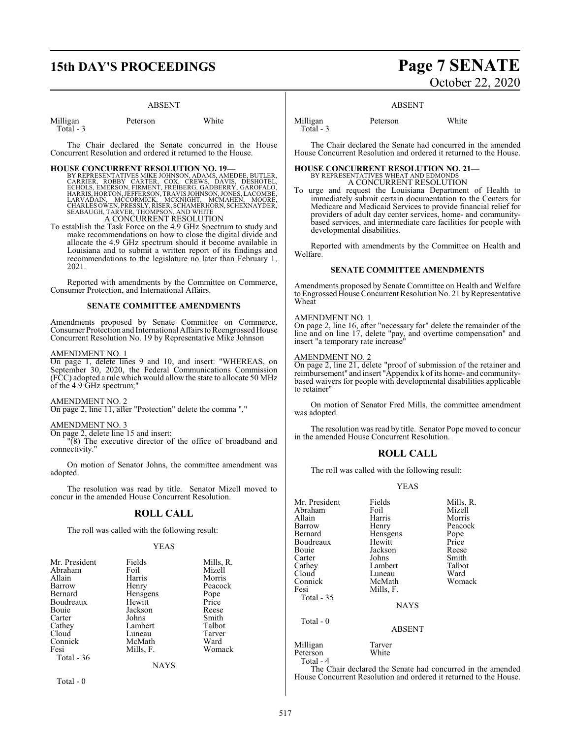# **15th DAY'S PROCEEDINGS Page 7 SENATE**

#### ABSENT

| Milligan  | Peterson | White |
|-----------|----------|-------|
| Total - 3 |          |       |

The Chair declared the Senate concurred in the House Concurrent Resolution and ordered it returned to the House.

**HOUSE CONCURRENT RESOLUTION NO. 19—**<br>BY REPRESENTATIVES MIKE JOHNSON, ADAMS, AMEDEE, BUTLER, CARRIER, ROBBY CARTER, COX, CREWS, DANIS, DESHOTEL,<br>ECHOLS, EMERSON, FIRMENT, FREIBERG, GADBERRY, GAROFALO,<br>HARRIS,HORTON, JEFFE A CONCURRENT RESOLUTION

To establish the Task Force on the 4.9 GHz Spectrum to study and make recommendations on how to close the digital divide and allocate the 4.9 GHz spectrum should it become available in Louisiana and to submit a written report of its findings and recommendations to the legislature no later than February 1, 2021.

Reported with amendments by the Committee on Commerce, Consumer Protection, and International Affairs.

#### **SENATE COMMITTEE AMENDMENTS**

Amendments proposed by Senate Committee on Commerce, Consumer Protection and International Affairs to Reengrossed House Concurrent Resolution No. 19 by Representative Mike Johnson

#### AMENDMENT NO. 1

On page 1, delete lines 9 and 10, and insert: "WHEREAS, on September 30, 2020, the Federal Communications Commission (FCC) adopted a rule which would allow the state to allocate 50 MHz of the 4.9 GHz spectrum;"

#### AMENDMENT NO. 2

On page 2, line 11, after "Protection" delete the comma ","

## AMENDMENT NO. 3

On page 2, delete line 15 and insert:

"(8) The executive director of the office of broadband and connectivity."

On motion of Senator Johns, the committee amendment was adopted.

The resolution was read by title. Senator Mizell moved to concur in the amended House Concurrent Resolution.

#### **ROLL CALL**

The roll was called with the following result:

#### YEAS

| Mr. President | Fields    | Mills, R. |
|---------------|-----------|-----------|
| Abraham       | Foil      | Mizell    |
| Allain        | Harris    | Morris    |
| Barrow        | Henry     | Peacock   |
| Bernard       | Hensgens  | Pope      |
| Boudreaux     | Hewitt    | Price     |
| Bouie         | Jackson   | Reese     |
| Carter        | Johns     | Smith     |
| Cathey        | Lambert   | Talbot    |
| Cloud         | Luneau    | Tarver    |
| Connick       | McMath    | Ward      |
| Fesi          | Mills, F. | Womack    |
| Total $-36$   |           |           |
|               | NAYS      |           |

Total - 0

# October 22, 2020

#### ABSENT

Milligan Peterson White Total - 3

The Chair declared the Senate had concurred in the amended House Concurrent Resolution and ordered it returned to the House.

**HOUSE CONCURRENT RESOLUTION NO. 21—** BY REPRESENTATIVES WHEAT AND EDMONDS A CONCURRENT RESOLUTION

To urge and request the Louisiana Department of Health to immediately submit certain documentation to the Centers for Medicare and Medicaid Services to provide financial relief for providers of adult day center services, home- and communitybased services, and intermediate care facilities for people with developmental disabilities.

Reported with amendments by the Committee on Health and Welfare.

#### **SENATE COMMITTEE AMENDMENTS**

Amendments proposed by Senate Committee on Health and Welfare to Engrossed House Concurrent Resolution No. 21 by Representative Wheat

#### AMENDMENT NO. 1

On page 2, line 16, after "necessary for" delete the remainder of the line and on line 17, delete "pay, and overtime compensation" and insert "a temporary rate increase"

#### AMENDMENT NO. 2

On page 2, line 21, delete "proof of submission of the retainer and reimbursement" and insert "Appendix k of its home- and communitybased waivers for people with developmental disabilities applicable to retainer"

On motion of Senator Fred Mills, the committee amendment was adopted.

The resolution was read by title. Senator Pope moved to concur in the amended House Concurrent Resolution.

#### **ROLL CALL**

The roll was called with the following result:

#### YEAS

| Mr. President | Fields        | Mills, R. |
|---------------|---------------|-----------|
| Abraham       | Foil          | Mizell    |
| Allain        | Harris        | Morris    |
| Barrow        | Henry         | Peacock   |
| Bernard       | Hensgens      | Pope      |
| Boudreaux     | Hewitt        | Price     |
| Bouie         | Jackson       | Reese     |
| Carter        | Johns         | Smith     |
| Cathey        | Lambert       | Talbot    |
| Cloud         | Luneau        | Ward      |
| Connick       | McMath        | Womack    |
| Fesi          | Mills, F.     |           |
| Total $-35$   |               |           |
|               | <b>NAYS</b>   |           |
| Total - 0     |               |           |
|               | <b>ABSENT</b> |           |
| Milligan      | Tarver        |           |
| Peterson      | White         |           |

Peterson Total - 4

The Chair declared the Senate had concurred in the amended House Concurrent Resolution and ordered it returned to the House.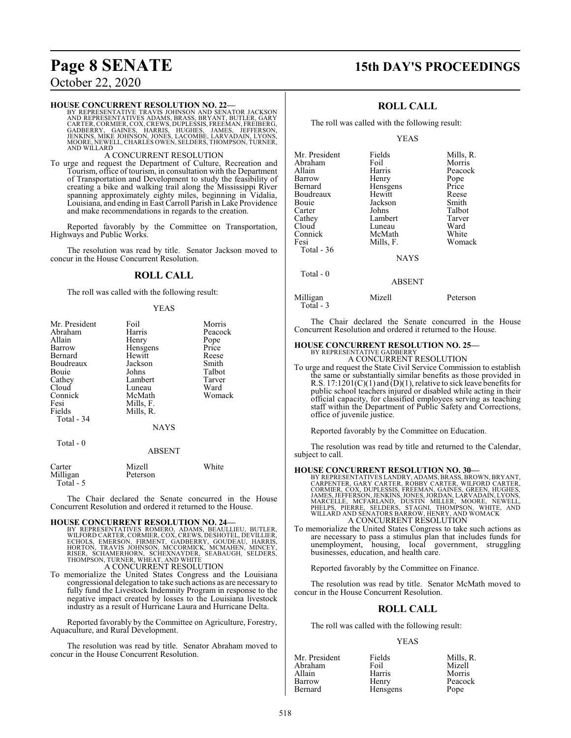# **Page 8 SENATE 15th DAY'S PROCEEDINGS**

## October 22, 2020

#### **HOUSE CONCURRENT RESOLUTION NO. 22—**

BY REPRESENTATIVE TRAVIS JOHNSON AND SENATOR JACKSON<br>AND REPRESENTATIVES ADAMS, BRASS, BRYANT, BUTLER, GARY<br>CARTER, CORMIER, COX, CREWS, DUPLESSIS, FREEMAN, FREIBERG,<br>GADBERRY, GAINES, HARRIS, HUGHES, JAMES, JEFFERSON,<br>JEN MOORE, NEWELL, CHARLES OWEN, SELDERS, THOMPSON, TURNER, AND WILLARD

#### A CONCURRENT RESOLUTION

To urge and request the Department of Culture, Recreation and Tourism, office of tourism, in consultation with the Department of Transportation and Development to study the feasibility of creating a bike and walking trail along the Mississippi River spanning approximately eighty miles, beginning in Vidalia, Louisiana, and ending in East Carroll Parish in Lake Providence and make recommendations in regards to the creation.

Reported favorably by the Committee on Transportation, Highways and Public Works.

The resolution was read by title. Senator Jackson moved to concur in the House Concurrent Resolution.

#### **ROLL CALL**

The roll was called with the following result:

#### YEAS

| Mr. President | Foil             | Morris  |
|---------------|------------------|---------|
| Abraham       | Harris           | Peacock |
| Allain        | Henry            | Pope    |
| Barrow        | Hensgens         | Price   |
| Bernard       | Hewitt           | Reese   |
| Boudreaux     | Jackson          | Smith   |
| Bouie         | Johns            | Talbot  |
| Cathey        | Lambert          | Tarver  |
| Cloud         | Luneau           | Ward    |
| Connick       | McMath           | Womack  |
| Fesi          | Mills, F.        |         |
| Fields        | Mills, R.        |         |
| Total - 34    |                  |         |
|               | <b>NAYS</b>      |         |
| Total - 0     |                  |         |
|               | <b>ABSENT</b>    |         |
| Carter        | Mizell           | White   |
| M:111         | $13 - 4 - 7 - 7$ |         |

Milligan Peterson Total - 5

The Chair declared the Senate concurred in the House Concurrent Resolution and ordered it returned to the House.

**HOUSE CONCURRENT RESOLUTION NO. 24—**<br>BY REPRESENTATIVES ROMERO, ADAMS, BEAULLIEU, BUTLER, WILFORD CARTER, CORMIER, COX, CREWS, DESHOTEL, DEVILLIER,<br>ECHOLS, EMERSON, FIRMENT, GADBERRY, GOUDEAU, HARRIS,<br>HORTON, TRAVIS JOHNS

To memorialize the United States Congress and the Louisiana congressional delegation to take such actions as are necessary to fully fund the Livestock Indemnity Program in response to the negative impact created by losses to the Louisiana livestock industry as a result of Hurricane Laura and Hurricane Delta.

Reported favorably by the Committee on Agriculture, Forestry, Aquaculture, and Rural Development.

The resolution was read by title. Senator Abraham moved to concur in the House Concurrent Resolution.

#### **ROLL CALL**

The roll was called with the following result:

#### YEAS

| Mr. President     | Fields        | Mills, R. |
|-------------------|---------------|-----------|
| Abraham           | Foil          | Morris    |
| Allain            | Harris        | Peacock   |
| Barrow            | Henry         | Pope      |
| Bernard           | Hensgens      | Price     |
| Boudreaux         | Hewitt        | Reese     |
| Bouie             | Jackson       | Smith     |
| Carter            | Johns         | Talbot    |
| Cathey            | Lambert       | Tarver    |
| Cloud             | Luneau        | Ward      |
| Connick           | McMath        | White     |
| Fesi              | Mills, F.     | Womack    |
| <b>Total - 36</b> |               |           |
|                   | <b>NAYS</b>   |           |
| Total - 0         |               |           |
|                   | <b>ABSENT</b> |           |
|                   |               |           |

Milligan Mizell Peterson Total - 3

The Chair declared the Senate concurred in the House Concurrent Resolution and ordered it returned to the House.

## **HOUSE CONCURRENT RESOLUTION NO. 25—** BY REPRESENTATIVE GADBERRY

A CONCURRENT RESOLUTION

To urge and request the State Civil Service Commission to establish the same or substantially similar benefits as those provided in R.S.  $17:1201(C)(1)$  and  $(D)(1)$ , relative to sick leave benefits for public school teachers injured or disabled while acting in their official capacity, for classified employees serving as teaching staff within the Department of Public Safety and Corrections, office of juvenile justice.

Reported favorably by the Committee on Education.

The resolution was read by title and returned to the Calendar, subject to call.

- **HOUSE CONCURRENT RESOLUTION NO. 30**<br>BY REPRESENTATIVES LANDRY, ADAMS, BRASS, BROWN, BRYANT,<br>CARPENTER, GARY CARTER, ROBBY CARTER, WILFORD CARTER,<br>CORMIER, COX, DUPLESSIS, FREEMAN, GAINES, GREEN, HUGHES,<br>JAMES, JEFFERSON, A CONCURRENT RESOLUTION
- To memorialize the United States Congress to take such actions as are necessary to pass a stimulus plan that includes funds for unemployment, housing, local government, struggling businesses, education, and health care.

Reported favorably by the Committee on Finance.

The resolution was read by title. Senator McMath moved to concur in the House Concurrent Resolution.

#### **ROLL CALL**

The roll was called with the following result:

#### YEAS

| Mr. President | Fields   | Mills, R. |
|---------------|----------|-----------|
| Abraham       | Foil     | Mizell    |
| Allain        | Harris   | Morris    |
| Barrow        | Henry    | Peacock   |
| Bernard       | Hensgens | Pope      |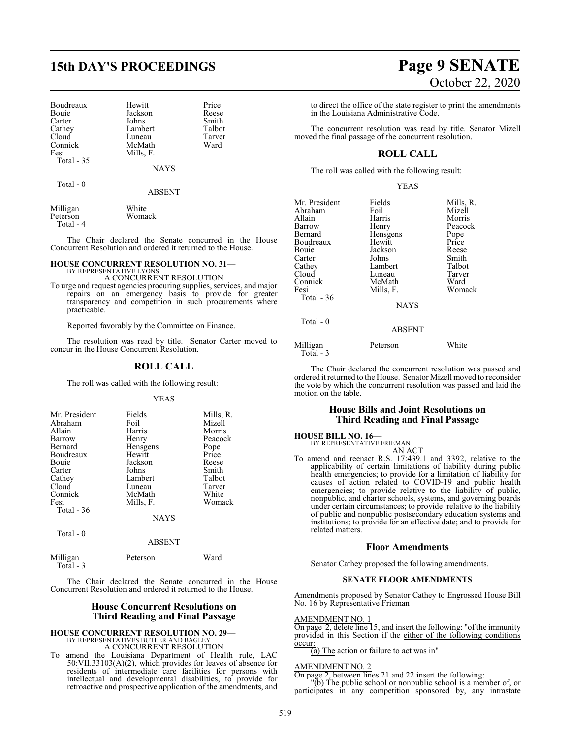# **15th DAY'S PROCEEDINGS Page 9 SENATE**

| Boudreaux  |
|------------|
| Bouie      |
| Carter     |
| Cathey     |
| Cloud      |
| Connick    |
| Fesi       |
| Total - 35 |

Johns Smith<br>Lambert Talbot Lambert Talbot<br>
Luneau Tarver Luneau Tarve<br>McMath Ward McMath Mills, F.

Hewitt Price<br>Jackson Reese Jackson Reese<br>Johns Smith

**NAYS** 

Total - 0

ABSENT

Milligan White<br>Peterson Womack Peterson Total - 4

The Chair declared the Senate concurred in the House Concurrent Resolution and ordered it returned to the House.

#### **HOUSE CONCURRENT RESOLUTION NO. 31—** BY REPRESENTATIVE LYONS

A CONCURRENT RESOLUTION

To urge and request agencies procuring supplies, services, and major repairs on an emergency basis to provide for greater transparency and competition in such procurements where practicable.

Reported favorably by the Committee on Finance.

The resolution was read by title. Senator Carter moved to concur in the House Concurrent Resolution.

#### **ROLL CALL**

The roll was called with the following result:

YEAS

| Mr. President | Fields    | Mills, R. |
|---------------|-----------|-----------|
| Abraham       | Foil      | Mizell    |
| Allain        | Harris    | Morris    |
| Barrow        | Henry     | Peacock   |
| Bernard       | Hensgens  | Pope      |
| Boudreaux     | Hewitt    | Price     |
| Bouie         | Jackson   | Reese     |
| Carter        | Johns     | Smith     |
| Cathey        | Lambert   | Talbot    |
| Cloud         | Luneau    | Tarver    |
| Connick       | McMath    | White     |
| Fesi          | Mills, F. | Womack    |
| Total $-36$   |           |           |
|               | NAYS      |           |

Total - 0

#### ABSENT

| Milligan<br>Total - 3 | Peterson | Ward |
|-----------------------|----------|------|
|                       |          |      |

The Chair declared the Senate concurred in the House Concurrent Resolution and ordered it returned to the House.

#### **House Concurrent Resolutions on Third Reading and Final Passage**

# **HOUSE CONCURRENT RESOLUTION NO. 29—** BY REPRESENTATIVES BUTLER AND BAGLEY A CONCURRENT RESOLUTION

To amend the Louisiana Department of Health rule, LAC 50:VII.33103(A)(2), which provides for leaves of absence for residents of intermediate care facilities for persons with intellectual and developmental disabilities, to provide for retroactive and prospective application of the amendments, and

# October 22, 2020

to direct the office of the state register to print the amendments in the Louisiana Administrative Code.

The concurrent resolution was read by title. Senator Mizell moved the final passage of the concurrent resolution.

## **ROLL CALL**

The roll was called with the following result:

|--|--|--|--|

| Mr. President<br>Abraham<br>Allain<br>Barrow<br>Bernard<br>Boudreaux<br>Bouie<br>Carter<br>Cathey<br>Cloud<br>Connick<br>Fesi<br>Total - 36 | Fields<br>Foil<br>Harris<br>Henry<br>Hensgens<br>Hewitt<br>Jackson<br>Johns<br>Lambert<br>Luneau<br>McMath<br>Mills, F.<br><b>NAYS</b> | Mills, R.<br>Mizell<br>Morris<br>Peacock<br>Pope<br>Price<br>Reese<br>Smith<br>Talbot<br>Tarver<br>Ward<br>Womack |
|---------------------------------------------------------------------------------------------------------------------------------------------|----------------------------------------------------------------------------------------------------------------------------------------|-------------------------------------------------------------------------------------------------------------------|
| Total - 0                                                                                                                                   | <b>ABSENT</b>                                                                                                                          |                                                                                                                   |
| M 4:11:                                                                                                                                     | $D - 1 - 2 - 3$                                                                                                                        | $TT71.24 -$                                                                                                       |

Milligan Peterson White Total - 3

The Chair declared the concurrent resolution was passed and ordered it returned to the House. Senator Mizell moved to reconsider the vote by which the concurrent resolution was passed and laid the motion on the table.

#### **House Bills and Joint Resolutions on Third Reading and Final Passage**

## **HOUSE BILL NO. 16—** BY REPRESENTATIVE FRIEMAN

AN ACT To amend and reenact R.S. 17:439.1 and 3392, relative to the applicability of certain limitations of liability during public health emergencies; to provide for a limitation of liability for causes of action related to COVID-19 and public health emergencies; to provide relative to the liability of public, nonpublic, and charter schools, systems, and governing boards under certain circumstances; to provide relative to the liability of public and nonpublic postsecondary education systems and institutions; to provide for an effective date; and to provide for related matters.

#### **Floor Amendments**

Senator Cathey proposed the following amendments.

#### **SENATE FLOOR AMENDMENTS**

Amendments proposed by Senator Cathey to Engrossed House Bill No. 16 by Representative Frieman

#### AMENDMENT NO. 1

On page 2, delete line 15, and insert the following: "of the immunity provided in this Section if the either of the following conditions occur:

 $(a)$  The action or failure to act was in"

#### AMENDMENT NO. 2

On page 2, between lines 21 and 22 insert the following:

"(b) The public school or nonpublic school is a member of, or participates in any competition sponsored by, any intrastate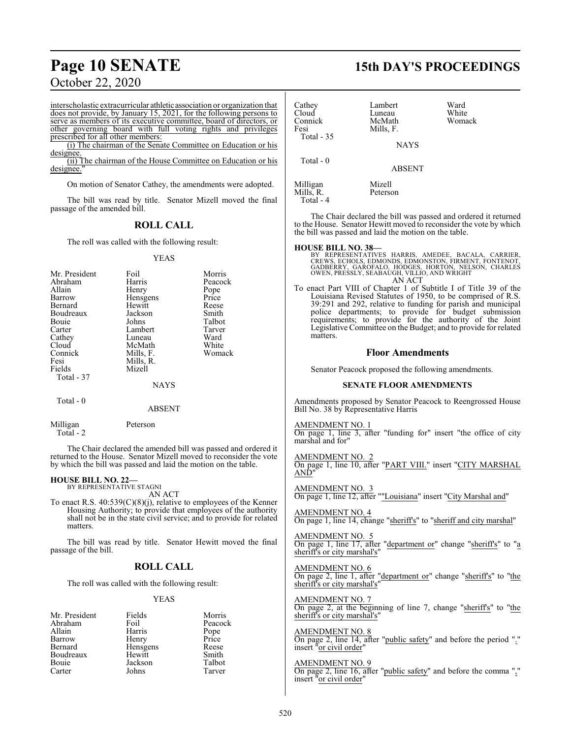interscholastic extracurricular athletic association or organization that does not provide, by January 15, 2021, for the following persons to serve as members of its executive committee, board of directors, or other governing board with full voting rights and privileges prescribed for all other members:

(i) The chairman of the Senate Committee on Education or his designee

(ii) The chairman of the House Committee on Education or his designee.

On motion of Senator Cathey, the amendments were adopted.

The bill was read by title. Senator Mizell moved the final passage of the amended bill.

## **ROLL CALL**

The roll was called with the following result:

#### YEAS

| Mr. President | Foil        | Morris  |
|---------------|-------------|---------|
| Abraham       | Harris      | Peacock |
| Allain        | Henry       | Pope    |
| Barrow        | Hensgens    | Price   |
| Bernard       | Hewitt      | Reese   |
| Boudreaux     | Jackson     | Smith   |
| Bouie         | Johns       | Talbot  |
| Carter        | Lambert     | Tarver  |
| Cathey        | Luneau      | Ward    |
| Cloud         | McMath      | White   |
| Connick       | Mills, F.   | Womack  |
| Fesi          | Mills, R.   |         |
| Fields        | Mizell      |         |
| Total - 37    |             |         |
|               | <b>NAYS</b> |         |
| ___           |             |         |

Total - 0

### ABSENT

Milligan Peterson Total - 2

The Chair declared the amended bill was passed and ordered it returned to the House. Senator Mizell moved to reconsider the vote by which the bill was passed and laid the motion on the table.

#### **HOUSE BILL NO. 22—** BY REPRESENTATIVE STAGNI

AN ACT

To enact R.S. 40:539(C)(8)(j), relative to employees of the Kenner Housing Authority; to provide that employees of the authority shall not be in the state civil service; and to provide for related matters.

The bill was read by title. Senator Hewitt moved the final passage of the bill.

#### **ROLL CALL**

The roll was called with the following result:

#### YEAS

| Mr. President | Fields   | Morris        |
|---------------|----------|---------------|
| Abraham       | Foil     | Peacock       |
| Allain        | Harris   | Pope<br>Price |
| Barrow        | Henry    |               |
| Bernard       | Hensgens | Reese         |
| Boudreaux     | Hewitt   | Smith         |
| Bouie         | Jackson  | Talbot        |
| Carter        | Johns    | Tarver        |

# **Page 10 SENATE 15th DAY'S PROCEEDINGS**

| Cathey<br>Cloud<br>Connick<br>Fesi | Lambert<br>Luneau<br>McMath<br>Mills, F. | Ward<br>White<br>Womack |
|------------------------------------|------------------------------------------|-------------------------|
| <b>Total - 35</b>                  | <b>NAYS</b>                              |                         |
| Total $-0$                         | <b>ABSENT</b>                            |                         |
| Milligan                           | Mizell                                   |                         |

Mills, R. Peterson Total - 4

The Chair declared the bill was passed and ordered it returned to the House. Senator Hewitt moved to reconsider the vote by which the bill was passed and laid the motion on the table.

**HOUSE BILL NO. 38—**<br>BY REPRESENTATIVES HARRIS, AMEDEE, BACALA, CARRIER<br>CREWS, ECHOLS, EDMONDS, EDMONSTON, FIRMENT, FONTENOT,<br>GADBERRY, GAROFALO, HODGES, HORTON, NELSON, CHARLES<br>OWEN, PRESSLY, SEABAUGH, VILLIO, AND WRIGHT AN ACT

To enact Part VIII of Chapter 1 of Subtitle I of Title 39 of the Louisiana Revised Statutes of 1950, to be comprised of R.S. 39:291 and 292, relative to funding for parish and municipal police departments; to provide for budget submission requirements; to provide for the authority of the Joint Legislative Committee on the Budget; and to provide for related matters.

#### **Floor Amendments**

Senator Peacock proposed the following amendments.

#### **SENATE FLOOR AMENDMENTS**

Amendments proposed by Senator Peacock to Reengrossed House Bill No. 38 by Representative Harris

AMENDMENT NO. 1

On page 1, line 3, after "funding for" insert "the office of city marshal and for"

AMENDMENT NO. 2 On page 1, line 10, after "PART VIII." insert "CITY MARSHAL AND"

AMENDMENT NO. 3 On page 1, line 12, after ""Louisiana" insert "City Marshal and"

AMENDMENT NO. 4 On page 1, line 14, change "sheriff's" to "sheriff and city marshal"

AMENDMENT NO. 5 On page 1, line 17, after "department or" change "sheriff's" to "a sheriff's or city marshal's'

AMENDMENT NO. 6 On page 2, line 1, after "department or" change "sheriff's" to "the sheriff's or city marshal's"

AMENDMENT NO. 7 On page 2, at the beginning of line 7, change "sheriff's" to "the sheriff's or city marshal's"

AMENDMENT NO. 8 On page 2, line 14, after "public safety" and before the period "." insert "<u>or civil order</u>"

AMENDMENT NO. 9 On page 2, line 16, after "public safety" and before the comma "," insert "or civil order"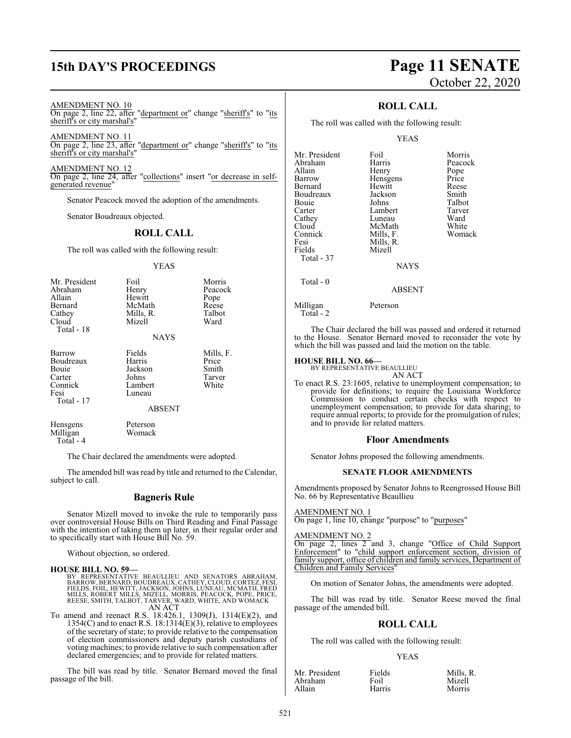# **15th DAY'S PROCEEDINGS Page 11 SENATE**

#### AMENDMENT NO. 10

On page 2, line 22, after "department or" change "sheriff's" to "its sheriff's or city marshal's"

AMENDMENT NO. 11 On page 2, line 23, after "department or" change "sheriff's" to "its sheriff's or city marshal's"

AMENDMENT NO. 12 On page 2, line 24, after "collections" insert "or decrease in selfgenerated revenue"

Senator Peacock moved the adoption of the amendments.

Senator Boudreaux objected.

#### **ROLL CALL**

The roll was called with the following result:

#### YEAS

| Mr. President<br>Abraham<br>Allain<br><b>Bernard</b><br>Cathey<br>Cloud<br>Total - 18 | Foil<br>Henry<br>Hewitt<br>McMath<br>Mills, R.<br>Mizell<br><b>NAYS</b>    | Morris<br>Peacock<br>Pope<br>Reese<br>Talbot<br>Ward |
|---------------------------------------------------------------------------------------|----------------------------------------------------------------------------|------------------------------------------------------|
| Barrow<br>Boudreaux<br>Bouie<br>Carter<br>Connick<br>Fesi<br>Total - 17               | Fields<br>Harris<br>Jackson<br>Johns<br>Lambert<br>Luneau<br><b>ABSENT</b> | Mills, F.<br>Price<br>Smith<br>Tarver<br>White       |

Hensgens Peterson<br>Milligan Womack Milligan Total - 4

The Chair declared the amendments were adopted.

The amended bill was read by title and returned to the Calendar, subject to call.

#### **Bagneris Rule**

Senator Mizell moved to invoke the rule to temporarily pass over controversial House Bills on Third Reading and Final Passage with the intention of taking them up later, in their regular order and to specifically start with House Bill No. 59.

Without objection, so ordered.

#### **HOUSE BILL NO. 59—**

BY REPRESENTATIVE BEAULLIEU AND SENATORS ABRAHAM,<br>BARROW,BERNARD,BOUDREAUX,CATHEY,CLOUD,CORTEZ,FESI,<br>FIELDS,FOIL,HEWITT,JACKSON,JOHNS,LUNEAU,MCMATH,FRED<br>MILLS,ROBERT MILLS,MIZELL,MORRIS,PEACOCK,POPE,PRICE,<br>REESE,SMITH,TALB AN ACT

To amend and reenact R.S. 18:426.1, 1309(J), 1314(E)(2), and 1354(C) and to enact R.S. 18:1314(E)(3), relative to employees of the secretary ofstate; to provide relative to the compensation of election commissioners and deputy parish custodians of voting machines; to provide relative to such compensation after declared emergencies; and to provide for related matters.

The bill was read by title. Senator Bernard moved the final passage of the bill.

# October 22, 2020

## **ROLL CALL**

The roll was called with the following result:

#### YEAS

| Mr. President         | Foil          | Morris  |
|-----------------------|---------------|---------|
| Abraham               | Harris        | Peacock |
| Allain                | Henry         | Pope    |
| Barrow                | Hensgens      | Price   |
| Bernard               | Hewitt        | Reese   |
| Boudreaux             | Jackson       | Smith   |
| Bouie                 | Johns         | Talbot  |
| Carter                | Lambert       | Tarver  |
| Cathey                | Luneau        | Ward    |
| Cloud                 | McMath        | White   |
| Connick               | Mills, F.     | Womack  |
| Fesi                  | Mills, R.     |         |
| Fields                | Mizell        |         |
| Total - 37            |               |         |
|                       | <b>NAYS</b>   |         |
| Total - 0             |               |         |
|                       | <b>ABSENT</b> |         |
| Milligan<br>Total - 2 | Peterson      |         |

The Chair declared the bill was passed and ordered it returned to the House. Senator Bernard moved to reconsider the vote by which the bill was passed and laid the motion on the table.

#### **HOUSE BILL NO. 66—**

BY REPRESENTATIVE BEAULLIEU

AN ACT To enact R.S. 23:1605, relative to unemployment compensation; to provide for definitions; to require the Louisiana Workforce Commission to conduct certain checks with respect to unemployment compensation; to provide for data sharing; to require annual reports; to provide for the promulgation of rules; and to provide for related matters.

#### **Floor Amendments**

Senator Johns proposed the following amendments.

#### **SENATE FLOOR AMENDMENTS**

Amendments proposed by Senator Johns to Reengrossed House Bill No. 66 by Representative Beaullieu

#### AMENDMENT NO. 1

On page 1, line 10, change "purpose" to "purposes"

#### AMENDMENT NO. 2

On page 2, lines 2 and 3, change "Office of Child Support Enforcement" to "child support enforcement section, division of family support, office of children and family services, Department of Children and Family Services"

On motion of Senator Johns, the amendments were adopted.

The bill was read by title. Senator Reese moved the final passage of the amended bill.

#### **ROLL CALL**

The roll was called with the following result:

#### YEAS

| Mr. President | Fields | Mills. R. |
|---------------|--------|-----------|
| Abraham       | Foil   | Mizell    |
| Allain        | Harris | Morris    |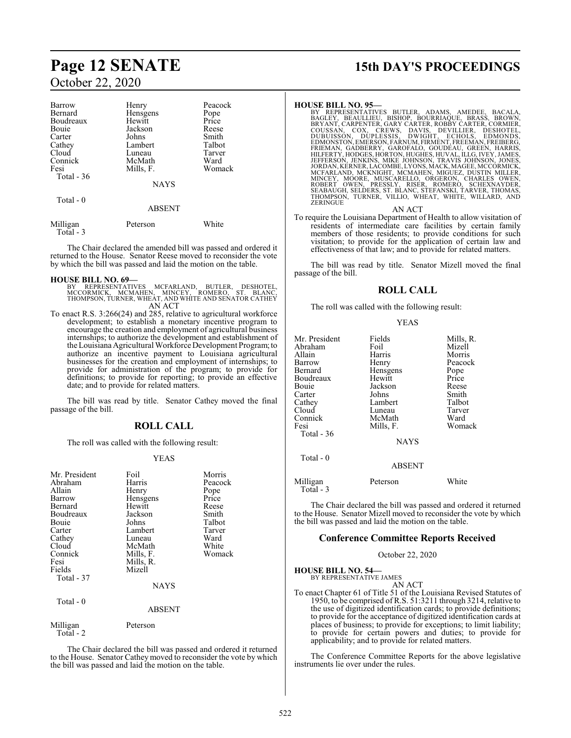| Barrow                | Henry         | Peacock |
|-----------------------|---------------|---------|
| Bernard               | Hensgens      | Pope    |
| Boudreaux             | Hewitt        | Price   |
| Bouie                 | Jackson       | Reese   |
| Carter                | Johns         | Smith   |
| Cathey                | Lambert       | Talbot  |
| Cloud                 | Luneau        | Tarver  |
| Connick               | McMath        | Ward    |
| Fesi                  | Mills, F.     | Womack  |
| Total - 36            |               |         |
|                       | <b>NAYS</b>   |         |
| Total - 0             |               |         |
|                       | <b>ABSENT</b> |         |
| Milligan<br>Total - 3 | Peterson      | White   |

The Chair declared the amended bill was passed and ordered it returned to the House. Senator Reese moved to reconsider the vote by which the bill was passed and laid the motion on the table.

#### **HOUSE BILL NO. 69—**

- BY REPRESENTATIVES MCFARLAND, BUTLER, DESHOTEL,<br>MCCORMICK, MCMAHEN, MINCEY, ROMERO, ST. BLANC,<br>THOMPSON,TURNER,WHEAT,ANDWHITE AND SENATOR CATHEY AN ACT
- To enact R.S. 3:266(24) and 285, relative to agricultural workforce development; to establish a monetary incentive program to encourage the creation and employment of agricultural business internships; to authorize the development and establishment of the Louisiana Agricultural Workforce Development Program; to authorize an incentive payment to Louisiana agricultural businesses for the creation and employment of internships; to provide for administration of the program; to provide for definitions; to provide for reporting; to provide an effective date; and to provide for related matters.

The bill was read by title. Senator Cathey moved the final passage of the bill.

## **ROLL CALL**

The roll was called with the following result:

#### YEAS

| Mr. President<br>Abraham<br>Allain<br>Barrow<br>Bernard<br>Boudreaux<br>Bouie | Foil<br>Harris<br>Henry<br>Hensgens<br>Hewitt<br>Jackson<br>Johns | Morris<br>Peacock<br>Pope<br>Price<br>Reese<br>Smith<br>Talbot |
|-------------------------------------------------------------------------------|-------------------------------------------------------------------|----------------------------------------------------------------|
| Carter<br>Cathey<br>Cloud<br>Connick<br>Fesi<br>Fields<br>Total - 37          | Lambert<br>Luneau<br>McMath<br>Mills, F.<br>Mills, R.<br>Mizell   | Tarver<br>Ward<br>White<br>Womack                              |
|                                                                               | <b>NAYS</b>                                                       |                                                                |
| Total $-0$                                                                    | <b>ABSENT</b>                                                     |                                                                |
| Milligan                                                                      | Peterson                                                          |                                                                |

Total - 2

The Chair declared the bill was passed and ordered it returned to the House. Senator Cathey moved to reconsider the vote by which the bill was passed and laid the motion on the table.

# **Page 12 SENATE 15th DAY'S PROCEEDINGS**

HOUSE BILL NO. 95—<br>BY REPRESENTATIVES BUTLER, ADAMS, AMEDEE, BACALA,<br>BAGLEY, BEAULLIEU, BISHOP, BOURRIAQUE, BRASS, BROWN,<br>BRYANT, CARPENTER, GARY CARTER, ROBBY CARTER, CORMIER,<br>COUSSAN, COX, CREWS, DAVIS, DEVILLIER, DESINO

AN ACT

To require the Louisiana Department of Health to allow visitation of residents of intermediate care facilities by certain family members of those residents; to provide conditions for such visitation; to provide for the application of certain law and effectiveness of that law; and to provide for related matters.

The bill was read by title. Senator Mizell moved the final passage of the bill.

#### **ROLL CALL**

The roll was called with the following result:

| v<br>٧ |
|--------|
|--------|

| Mr. President<br>Abraham<br>Allain<br>Barrow<br>Bernard<br>Boudreaux<br>Bouie<br>Carter<br>Cathey<br>Cloud<br>Connick<br>Fesi | Fields<br>Foil<br>Harris<br>Henry<br>Hensgens<br>Hewitt<br>Jackson<br>Johns<br>Lambert<br>Luneau<br>McMath<br>Mills, F. | Mills, R.<br>Mizell<br>Morris<br>Peacock<br>Pope<br>Price<br>Reese<br>Smith<br>Talbot<br>Tarver<br>Ward<br>Womack |
|-------------------------------------------------------------------------------------------------------------------------------|-------------------------------------------------------------------------------------------------------------------------|-------------------------------------------------------------------------------------------------------------------|
| Total $-36$                                                                                                                   | <b>NAYS</b>                                                                                                             |                                                                                                                   |
| Total - 0                                                                                                                     | <b>ABSENT</b>                                                                                                           |                                                                                                                   |
| Milligan<br>$Total - 3$                                                                                                       | Peterson                                                                                                                | White                                                                                                             |

The Chair declared the bill was passed and ordered it returned to the House. Senator Mizell moved to reconsider the vote by which the bill was passed and laid the motion on the table.

#### **Conference Committee Reports Received**

October 22, 2020

**HOUSE BILL NO. 54—**

BY REPRESENTATIVE JAMES AN ACT

To enact Chapter 61 of Title 51 of the Louisiana Revised Statutes of 1950, to be comprised of R.S. 51:3211 through 3214, relative to the use of digitized identification cards; to provide definitions; to provide for the acceptance of digitized identification cards at places of business; to provide for exceptions; to limit liability; to provide for certain powers and duties; to provide for applicability; and to provide for related matters.

The Conference Committee Reports for the above legislative instruments lie over under the rules.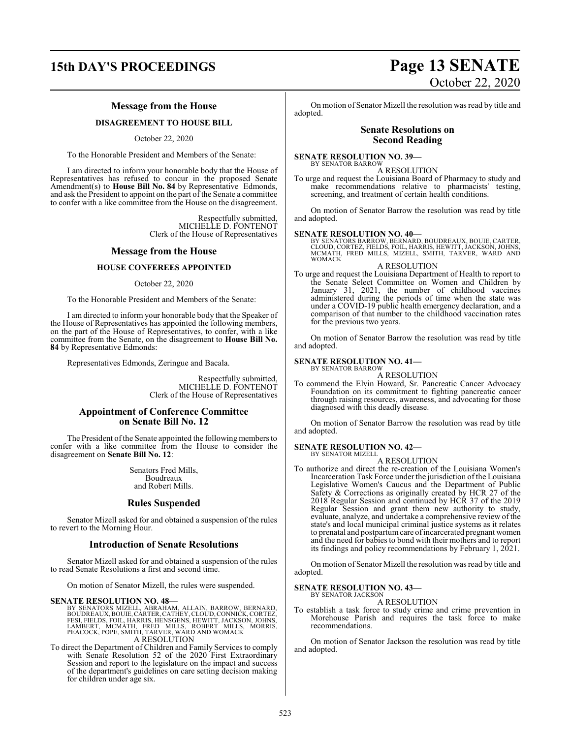# **15th DAY'S PROCEEDINGS Page 13 SENATE** October 22, 2020

#### **Message from the House**

#### **DISAGREEMENT TO HOUSE BILL**

October 22, 2020

To the Honorable President and Members of the Senate:

I am directed to inform your honorable body that the House of Representatives has refused to concur in the proposed Senate Amendment(s) to **House Bill No. 84** by Representative Edmonds, and ask the President to appoint on the part of the Senate a committee to confer with a like committee from the House on the disagreement.

> Respectfully submitted, MICHELLE D. FONTENOT Clerk of the House of Representatives

#### **Message from the House**

#### **HOUSE CONFEREES APPOINTED**

October 22, 2020

To the Honorable President and Members of the Senate:

I am directed to inform your honorable body that the Speaker of the House of Representatives has appointed the following members, on the part of the House of Representatives, to confer, with a like committee from the Senate, on the disagreement to **House Bill No. 84** by Representative Edmonds:

Representatives Edmonds, Zeringue and Bacala.

Respectfully submitted, MICHELLE D. FONTENOT Clerk of the House of Representatives

#### **Appointment of Conference Committee on Senate Bill No. 12**

The President of the Senate appointed the following members to confer with a like committee from the House to consider the disagreement on **Senate Bill No. 12**:

> Senators Fred Mills, Boudreaux and Robert Mills.

#### **Rules Suspended**

Senator Mizell asked for and obtained a suspension of the rules to revert to the Morning Hour.

#### **Introduction of Senate Resolutions**

Senator Mizell asked for and obtained a suspension of the rules to read Senate Resolutions a first and second time.

On motion of Senator Mizell, the rules were suspended.

**SENATE RESOLUTION NO. 48—** BY SENATORS MIZELL, ABRAHAM, ALLAIN, BARROW, BERNARD, BOUDREAUX, BOUIE, CÀRTER, CATHEY, CLOUD, CONNICK, CORTEZ,<br>FESI, FIELDS, FOIL, HARRIS, HENSGENS, HEWITT, JACKSON, JOHNS,<br>LAMBERT, MCMATH, FRED MILLS, ROBERT MILLS, MORRIS,<br>PEACOCK, POPE, SMITH, TARVER, WARD AND WOMACK A RESOLUTION

To direct the Department of Children and Family Services to comply with Senate Resolution 52 of the 2020 First Extraordinary Session and report to the legislature on the impact and success of the department's guidelines on care setting decision making for children under age six.

On motion of Senator Mizell the resolution was read by title and adopted.

#### **Senate Resolutions on Second Reading**

#### **SENATE RESOLUTION NO. 39—**

BY SENATOR BARROW A RESOLUTION

To urge and request the Louisiana Board of Pharmacy to study and make recommendations relative to pharmacists' testing, screening, and treatment of certain health conditions.

On motion of Senator Barrow the resolution was read by title and adopted.

#### **SENATE RESOLUTION NO. 40—**

BY SENATORS BARROW, BERNARD, BOUDREAUX, BOUIE, CARTER,<br>CLOUD, CORTEZ, FIELDS, FOIL, HARRIS, HEWITT, JACKSON, JOHNS,<br>MCMATH, FRED MILLS, MIZELL, SMITH, TARVER, WARD AND WOMACK

#### A RESOLUTION

To urge and request the Louisiana Department of Health to report to the Senate Select Committee on Women and Children by January 31, 2021, the number of childhood vaccines administered during the periods of time when the state was under a COVID-19 public health emergency declaration, and a comparison of that number to the childhood vaccination rates for the previous two years.

On motion of Senator Barrow the resolution was read by title and adopted.

#### **SENATE RESOLUTION NO. 41—** BY SENATOR BARROW

A RESOLUTION

To commend the Elvin Howard, Sr. Pancreatic Cancer Advocacy Foundation on its commitment to fighting pancreatic cancer through raising resources, awareness, and advocating for those diagnosed with this deadly disease.

On motion of Senator Barrow the resolution was read by title and adopted.

#### **SENATE RESOLUTION NO. 42—** BY SENATOR MIZELL

A RESOLUTION

To authorize and direct the re-creation of the Louisiana Women's Incarceration Task Force under the jurisdiction of the Louisiana Legislative Women's Caucus and the Department of Public Safety & Corrections as originally created by HCR 27 of the 2018 Regular Session and continued by HCR 37 of the 2019 Regular Session and grant them new authority to study, evaluate, analyze, and undertake a comprehensive review of the state's and local municipal criminal justice systems as it relates to prenatal and postpartum care of incarcerated pregnant women and the need for babies to bond with their mothers and to report its findings and policy recommendations by February 1, 2021.

On motion of Senator Mizell the resolution was read by title and adopted.

#### **SENATE RESOLUTION NO. 43—** BY SENATOR JACKSON

#### A RESOLUTION

To establish a task force to study crime and crime prevention in Morehouse Parish and requires the task force to make recommendations.

On motion of Senator Jackson the resolution was read by title and adopted.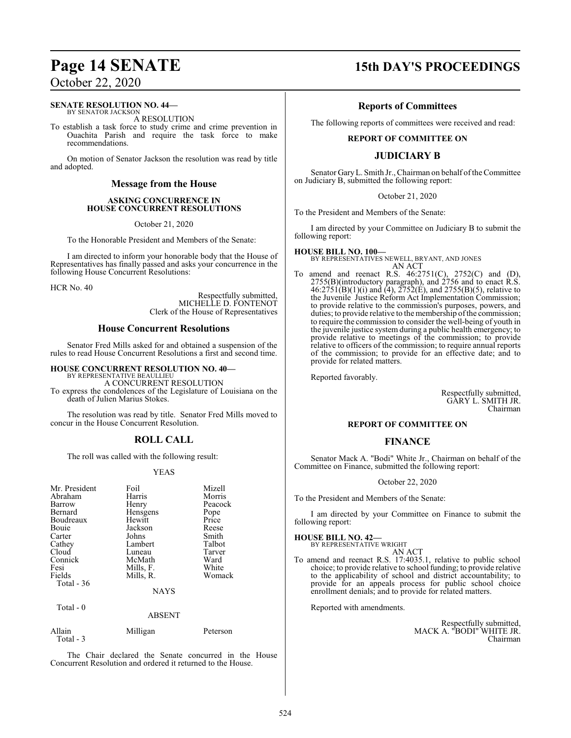### **SENATE RESOLUTION NO. 44—**

BY SENATOR JACKSON A RESOLUTION

To establish a task force to study crime and crime prevention in Ouachita Parish and require the task force to make recommendations.

On motion of Senator Jackson the resolution was read by title and adopted.

#### **Message from the House**

#### **ASKING CONCURRENCE IN HOUSE CONCURRENT RESOLUTIONS**

October 21, 2020

To the Honorable President and Members of the Senate:

I am directed to inform your honorable body that the House of Representatives has finally passed and asks your concurrence in the following House Concurrent Resolutions:

HCR No. 40

Respectfully submitted, MICHELLE D. FONTENOT Clerk of the House of Representatives

## **House Concurrent Resolutions**

Senator Fred Mills asked for and obtained a suspension of the rules to read House Concurrent Resolutions a first and second time.

**HOUSE CONCURRENT RESOLUTION NO. 40—**

BY REPRESENTATIVE BEAULLIEU A CONCURRENT RESOLUTION

To express the condolences of the Legislature of Louisiana on the death of Julien Marius Stokes.

The resolution was read by title. Senator Fred Mills moved to concur in the House Concurrent Resolution.

## **ROLL CALL**

The roll was called with the following result:

#### YEAS

| Mr. President<br>Abraham<br>Barrow<br>Bernard<br>Boudreaux<br>Bouie<br>Carter<br>Cathey<br>Cloud<br>Connick<br>Fesi<br>Fields<br>Total $-36$ | Foil<br>Harris<br>Henry<br>Hensgens<br>Hewitt<br>Jackson<br>Johns<br>Lambert<br>Luneau<br>McMath<br>Mills, F.<br>Mills, R. | Mizell<br>Morris<br>Peacock<br>Pope<br>Price<br>Reese<br>Smith<br>Talbot<br>Tarver<br>Ward<br>White<br>Womack |
|----------------------------------------------------------------------------------------------------------------------------------------------|----------------------------------------------------------------------------------------------------------------------------|---------------------------------------------------------------------------------------------------------------|
|                                                                                                                                              | <b>NAYS</b>                                                                                                                |                                                                                                               |
| Total - 0                                                                                                                                    | <b>ABSENT</b>                                                                                                              |                                                                                                               |
| Allain                                                                                                                                       | Milligan                                                                                                                   | Peterson                                                                                                      |

Total - 3

The Chair declared the Senate concurred in the House Concurrent Resolution and ordered it returned to the House.

# **Page 14 SENATE 15th DAY'S PROCEEDINGS**

## **Reports of Committees**

The following reports of committees were received and read:

#### **REPORT OF COMMITTEE ON**

## **JUDICIARY B**

Senator Gary L. Smith Jr., Chairman on behalf of the Committee on Judiciary B, submitted the following report:

October 21, 2020

To the President and Members of the Senate:

I am directed by your Committee on Judiciary B to submit the following report:

#### **HOUSE BILL NO. 100—**

BY REPRESENTATIVES NEWELL, BRYANT, AND JONES AN ACT

To amend and reenact R.S. 46:2751(C), 2752(C) and (D), 2755(B)(introductory paragraph), and 2756 and to enact R.S.  $46:2751(B)(1)(i)$  and  $(4)$ ,  $2752(E)$ , and  $2755(B)(5)$ , relative to the Juvenile Justice Reform Act Implementation Commission; to provide relative to the commission's purposes, powers, and duties; to provide relative to the membership of the commission; to require the commission to consider the well-being of youth in the juvenile justice system during a public health emergency; to provide relative to meetings of the commission; to provide relative to officers of the commission; to require annual reports of the commission; to provide for an effective date; and to provide for related matters.

Reported favorably.

Respectfully submitted, GARY L. SMITH JR. Chairman

#### **REPORT OF COMMITTEE ON**

#### **FINANCE**

Senator Mack A. "Bodi" White Jr., Chairman on behalf of the Committee on Finance, submitted the following report:

#### October 22, 2020

To the President and Members of the Senate:

I am directed by your Committee on Finance to submit the following report:

#### **HOUSE BILL NO. 42—**

BY REPRESENTATIVE WRIGHT AN ACT

To amend and reenact R.S. 17:4035.1, relative to public school choice; to provide relative to school funding; to provide relative to the applicability of school and district accountability; to provide for an appeals process for public school choice enrollment denials; and to provide for related matters.

Reported with amendments.

Respectfully submitted, MACK A. "BODI" WHITE JR. Chairman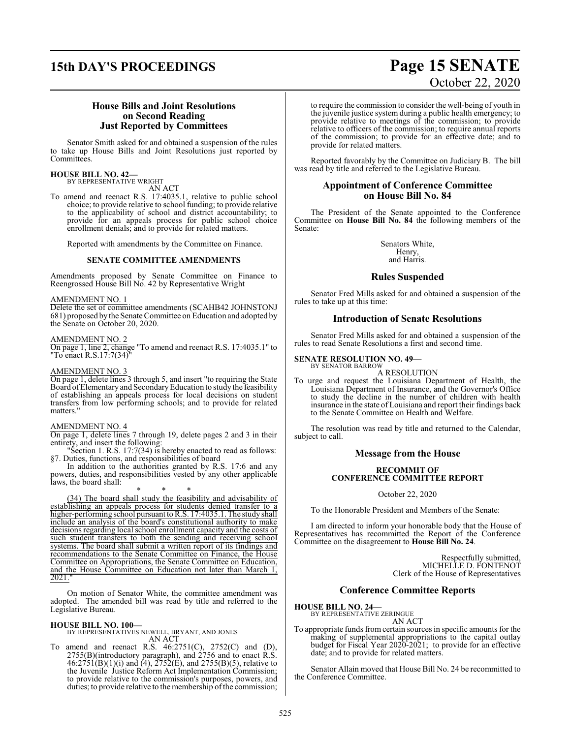# **15th DAY'S PROCEEDINGS Page 15 SENATE**

# October 22, 2020

#### **House Bills and Joint Resolutions on Second Reading Just Reported by Committees**

Senator Smith asked for and obtained a suspension of the rules to take up House Bills and Joint Resolutions just reported by Committees.

#### **HOUSE BILL NO. 42—** BY REPRESENTATIVE WRIGHT

AN ACT

To amend and reenact R.S. 17:4035.1, relative to public school choice; to provide relative to school funding; to provide relative to the applicability of school and district accountability; to provide for an appeals process for public school choice enrollment denials; and to provide for related matters.

Reported with amendments by the Committee on Finance.

#### **SENATE COMMITTEE AMENDMENTS**

Amendments proposed by Senate Committee on Finance to Reengrossed House Bill No. 42 by Representative Wright

#### AMENDMENT NO. 1

Delete the set of committee amendments (SCAHB42 JOHNSTONJ 681) proposed bythe Senate Committee on Education and adopted by the Senate on October 20, 2020.

#### AMENDMENT NO. 2

On page 1, line 2, change "To amend and reenact R.S. 17:4035.1" to "To enact R.S.17:7(34)"

#### AMENDMENT NO. 3

On page 1, delete lines 3 through 5, and insert "to requiring the State Board ofElementary and SecondaryEducation to studythe feasibility of establishing an appeals process for local decisions on student transfers from low performing schools; and to provide for related matters."

#### AMENDMENT NO. 4

On page 1, delete lines 7 through 19, delete pages 2 and 3 in their entirety, and insert the following:

"Section 1. R.S. 17:7(34) is hereby enacted to read as follows: §7. Duties, functions, and responsibilities of board

In addition to the authorities granted by R.S. 17:6 and any powers, duties, and responsibilities vested by any other applicable laws, the board shall:

\* \* \* (34) The board shall study the feasibility and advisability of establishing an appeals process for students denied transfer to a higher-performing school pursuant to R.S. 17:4035.1. The study shall include an analysis of the board's constitutional authority to make decisions regarding local school enrollment capacity and the costs of such student transfers to both the sending and receiving school systems. The board shall submit a written report of its findings and recommendations to the Senate Committee on Finance, the House Committee on Appropriations, the Senate Committee on Education, and the House Committee on Education not later than March 1, 2021."

On motion of Senator White, the committee amendment was adopted. The amended bill was read by title and referred to the Legislative Bureau.

**HOUSE BILL NO. 100—** BY REPRESENTATIVES NEWELL, BRYANT, AND JONES AN ACT

To amend and reenact R.S. 46:2751(C), 2752(C) and (D), 2755(B)(introductory paragraph), and 2756 and to enact R.S.  $46:2751(B)(1)(i)$  and  $(4)$ ,  $2752(E)$ , and  $2755(B)(5)$ , relative to the Juvenile Justice Reform Act Implementation Commission; to provide relative to the commission's purposes, powers, and duties; to provide relative to the membership of the commission; to require the commission to consider the well-being of youth in the juvenile justice system during a public health emergency; to provide relative to meetings of the commission; to provide relative to officers of the commission; to require annual reports of the commission; to provide for an effective date; and to provide for related matters.

Reported favorably by the Committee on Judiciary B. The bill was read by title and referred to the Legislative Bureau.

#### **Appointment of Conference Committee on House Bill No. 84**

The President of the Senate appointed to the Conference Committee on **House Bill No. 84** the following members of the Senate:

> Senators White, Henry, and Harris.

### **Rules Suspended**

Senator Fred Mills asked for and obtained a suspension of the rules to take up at this time:

#### **Introduction of Senate Resolutions**

Senator Fred Mills asked for and obtained a suspension of the rules to read Senate Resolutions a first and second time.

#### **SENATE RESOLUTION NO. 49—** BY SENATOR BARROW

A RESOLUTION

To urge and request the Louisiana Department of Health, the Louisiana Department of Insurance, and the Governor's Office to study the decline in the number of children with health insurance in the state of Louisiana and report their findings back to the Senate Committee on Health and Welfare.

The resolution was read by title and returned to the Calendar, subject to call.

#### **Message from the House**

#### **RECOMMIT OF CONFERENCE COMMITTEE REPORT**

October 22, 2020

To the Honorable President and Members of the Senate:

I am directed to inform your honorable body that the House of Representatives has recommitted the Report of the Conference Committee on the disagreement to **House Bill No. 24**.

> Respectfully submitted, MICHELLE D. FONTENOT Clerk of the House of Representatives

#### **Conference Committee Reports**

**HOUSE BILL NO. 24—**

BY REPRESENTATIVE ZERINGUE AN ACT

To appropriate funds fromcertain sources in specific amounts for the making of supplemental appropriations to the capital outlay budget for Fiscal Year 2020-2021; to provide for an effective date; and to provide for related matters.

Senator Allain moved that House Bill No. 24 be recommitted to the Conference Committee.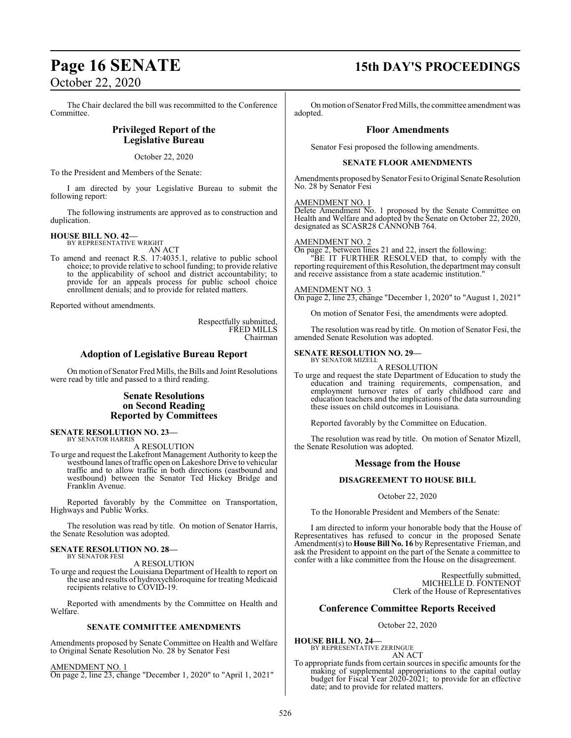The Chair declared the bill was recommitted to the Conference Committee.

### **Privileged Report of the Legislative Bureau**

October 22, 2020

To the President and Members of the Senate:

I am directed by your Legislative Bureau to submit the following report:

The following instruments are approved as to construction and duplication.

#### **HOUSE BILL NO. 42—** BY REPRESENTATIVE WRIGHT

AN ACT

To amend and reenact R.S. 17:4035.1, relative to public school choice; to provide relative to school funding; to provide relative to the applicability of school and district accountability; to provide for an appeals process for public school choice enrollment denials; and to provide for related matters.

Reported without amendments.

Respectfully submitted, FRED MILLS Chairman

#### **Adoption of Legislative Bureau Report**

On motion of Senator Fred Mills, the Bills and Joint Resolutions were read by title and passed to a third reading.

### **Senate Resolutions on Second Reading Reported by Committees**

**SENATE RESOLUTION NO. 23—** BY SENATOR HARRIS

A RESOLUTION

To urge and request the Lakefront Management Authority to keep the westbound lanes oftraffic open on Lakeshore Drive to vehicular traffic and to allow traffic in both directions (eastbound and westbound) between the Senator Ted Hickey Bridge and Franklin Avenue.

Reported favorably by the Committee on Transportation, Highways and Public Works.

The resolution was read by title. On motion of Senator Harris, the Senate Resolution was adopted.

#### **SENATE RESOLUTION NO. 28—** BY SENATOR FESI

A RESOLUTION

To urge and request the Louisiana Department of Health to report on the use and results of hydroxychloroquine for treating Medicaid recipients relative to COVID-19.

Reported with amendments by the Committee on Health and Welfare.

#### **SENATE COMMITTEE AMENDMENTS**

Amendments proposed by Senate Committee on Health and Welfare to Original Senate Resolution No. 28 by Senator Fesi

AMENDMENT NO. 1

On page 2, line 23, change "December 1, 2020" to "April 1, 2021"

# **Page 16 SENATE 15th DAY'S PROCEEDINGS**

On motion of Senator Fred Mills, the committee amendment was adopted.

#### **Floor Amendments**

Senator Fesi proposed the following amendments.

#### **SENATE FLOOR AMENDMENTS**

Amendments proposed by Senator Fesi to Original Senate Resolution No. 28 by Senator Fesi

#### AMENDMENT NO. 1

Delete Amendment No. 1 proposed by the Senate Committee on Health and Welfare and adopted by the Senate on October 22, 2020, designated as SCASR28 CANNONB 764.

#### AMENDMENT NO. 2

On page 2, between lines 21 and 22, insert the following: "BE IT FURTHER RESOLVED that, to comply with the reporting requirement ofthis Resolution, the department may consult and receive assistance from a state academic institution."

#### AMENDMENT NO. 3

On page 2, line 23, change "December 1, 2020" to "August 1, 2021"

On motion of Senator Fesi, the amendments were adopted.

The resolution was read by title. On motion of Senator Fesi, the amended Senate Resolution was adopted.

#### **SENATE RESOLUTION NO. 29—**

BY SENATOR MIZELL A RESOLUTION

To urge and request the state Department of Education to study the education and training requirements, compensation, and employment turnover rates of early childhood care and education teachers and the implications of the data surrounding these issues on child outcomes in Louisiana.

Reported favorably by the Committee on Education.

The resolution was read by title. On motion of Senator Mizell, the Senate Resolution was adopted.

#### **Message from the House**

#### **DISAGREEMENT TO HOUSE BILL**

October 22, 2020

To the Honorable President and Members of the Senate:

I am directed to inform your honorable body that the House of Representatives has refused to concur in the proposed Senate Amendment(s) to **House Bill No. 16** by Representative Frieman, and ask the President to appoint on the part of the Senate a committee to confer with a like committee from the House on the disagreement.

> Respectfully submitted, MICHELLE D. FONTENOT Clerk of the House of Representatives

#### **Conference Committee Reports Received**

#### October 22, 2020

**HOUSE BILL NO. 24—** BY REPRESENTATIVE ZERINGUE AN ACT

To appropriate funds from certain sources in specific amounts for the making of supplemental appropriations to the capital outlay budget for Fiscal Year 2020-2021; to provide for an effective date; and to provide for related matters.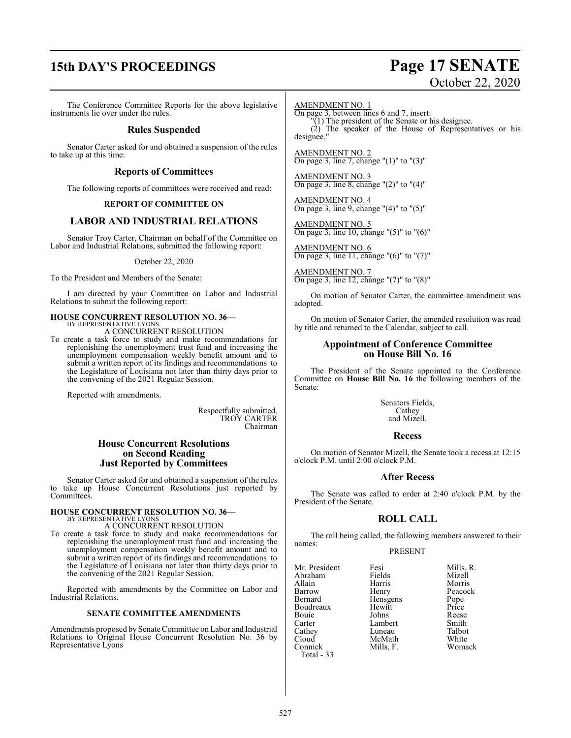# **15th DAY'S PROCEEDINGS Page 17 SENATE**

# October 22, 2020

The Conference Committee Reports for the above legislative instruments lie over under the rules.

#### **Rules Suspended**

Senator Carter asked for and obtained a suspension of the rules to take up at this time:

#### **Reports of Committees**

The following reports of committees were received and read:

#### **REPORT OF COMMITTEE ON**

#### **LABOR AND INDUSTRIAL RELATIONS**

Senator Troy Carter, Chairman on behalf of the Committee on Labor and Industrial Relations, submitted the following report:

#### October 22, 2020

To the President and Members of the Senate:

I am directed by your Committee on Labor and Industrial Relations to submit the following report:

# **HOUSE CONCURRENT RESOLUTION NO. 36—** BY REPRESENTATIVE LYONS

A CONCURRENT RESOLUTION

To create a task force to study and make recommendations for replenishing the unemployment trust fund and increasing the unemployment compensation weekly benefit amount and to submit a written report of its findings and recommendations to the Legislature of Louisiana not later than thirty days prior to the convening of the 2021 Regular Session.

Reported with amendments.

Respectfully submitted, TROY CARTER Chairman

#### **House Concurrent Resolutions on Second Reading Just Reported by Committees**

Senator Carter asked for and obtained a suspension of the rules to take up House Concurrent Resolutions just reported by Committees.

#### **HOUSE CONCURRENT RESOLUTION NO. 36—** BY REPRESENTATIVE LYONS

A CONCURRENT RESOLUTION

To create a task force to study and make recommendations for replenishing the unemployment trust fund and increasing the unemployment compensation weekly benefit amount and to submit a written report of its findings and recommendations to the Legislature of Louisiana not later than thirty days prior to the convening of the 2021 Regular Session.

Reported with amendments by the Committee on Labor and Industrial Relations.

#### **SENATE COMMITTEE AMENDMENTS**

Amendments proposed by Senate Committee on Labor and Industrial Relations to Original House Concurrent Resolution No. 36 by Representative Lyons

AMENDMENT NO. 1

On page 3, between lines 6 and 7, insert:

"(1) The president of the Senate or his designee. (2) The speaker of the House of Representatives or his designee."

AMENDMENT NO. 2 On page 3, line 7, change "(1)" to "(3)"

AMENDMENT NO. 3 On page 3, line 8, change " $(2)$ " to " $(4)$ "

AMENDMENT NO. 4 On page 3, line 9, change "(4)" to "(5)"

AMENDMENT NO. 5 On page 3, line 10, change "(5)" to "(6)"

AMENDMENT NO. 6 On page 3, line 11, change "(6)" to "(7)"

AMENDMENT NO. 7 On page 3, line 12, change "(7)" to "(8)"

On motion of Senator Carter, the committee amendment was adopted.

On motion of Senator Carter, the amended resolution was read by title and returned to the Calendar, subject to call.

#### **Appointment of Conference Committee on House Bill No. 16**

The President of the Senate appointed to the Conference Committee on **House Bill No. 16** the following members of the Senate:

> Senators Fields, Cathey and Mizell.

#### **Recess**

On motion of Senator Mizell, the Senate took a recess at 12:15 o'clock P.M. until 2:00 o'clock P.M.

#### **After Recess**

The Senate was called to order at 2:40 o'clock P.M. by the President of the Senate.

### **ROLL CALL**

The roll being called, the following members answered to their names:

#### PRESENT

Mr. President Fesi Fesi Mills, R.<br>Abraham Fields Mizell Abraham Fields<br>Allain Harris Allain Harris Morris Barrow Henry Peacock<br>Bernard Hensgens Pope Boudreaux Hewitt Price<br>
Bouie Johns Reese Bouie Johns Reese<br>Carter Lambert Smith Cathey Luneau Talbot<br>Cloud McMath White Cloud McMath<br>
Connick Mills, F. Total - 33

Hensgens Pope<br>Hewitt Price Lambert Smith<br>
Luneau Talbot Womack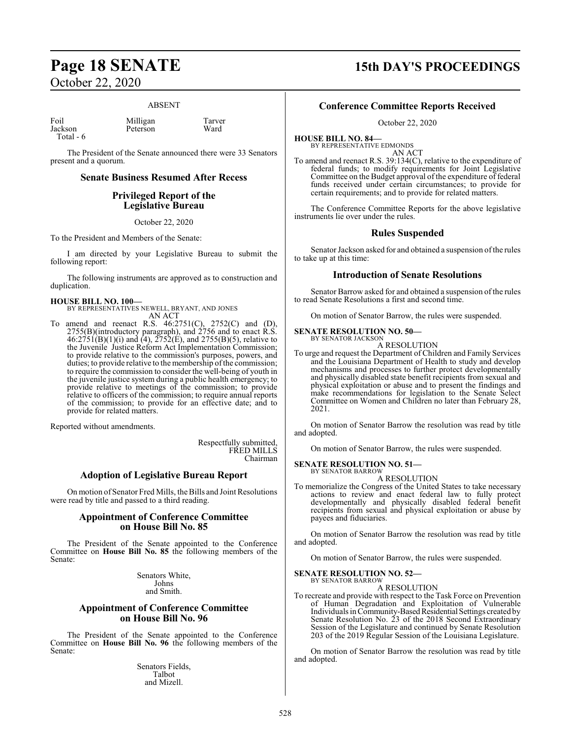#### ABSENT

Foil Milligan Tarver<br>
Iackson Peterson Ward Total - 6

The President of the Senate announced there were 33 Senators present and a quorum.

Peterson

#### **Senate Business Resumed After Recess**

## **Privileged Report of the Legislative Bureau**

October 22, 2020

To the President and Members of the Senate:

I am directed by your Legislative Bureau to submit the following report:

The following instruments are approved as to construction and duplication.

#### **HOUSE BILL NO. 100—**

BY REPRESENTATIVES NEWELL, BRYANT, AND JONES AN ACT

To amend and reenact R.S. 46:2751(C), 2752(C) and (D), 2755(B)(introductory paragraph), and 2756 and to enact R.S.  $46:2751(B)(1)(i)$  and  $(4)$ ,  $2752(E)$ , and  $2755(B)(5)$ , relative to the Juvenile Justice Reform Act Implementation Commission; to provide relative to the commission's purposes, powers, and duties; to provide relative to the membership of the commission; to require the commission to consider the well-being of youth in the juvenile justice system during a public health emergency; to provide relative to meetings of the commission; to provide relative to officers of the commission; to require annual reports of the commission; to provide for an effective date; and to provide for related matters.

Reported without amendments.

Respectfully submitted, FRED MILLS Chairman

#### **Adoption of Legislative Bureau Report**

On motion of Senator Fred Mills, the Bills and Joint Resolutions were read by title and passed to a third reading.

#### **Appointment of Conference Committee on House Bill No. 85**

The President of the Senate appointed to the Conference Committee on **House Bill No. 85** the following members of the Senate:

> Senators White, Johns and Smith.

#### **Appointment of Conference Committee on House Bill No. 96**

The President of the Senate appointed to the Conference Committee on **House Bill No. 96** the following members of the Senate:

> Senators Fields, Talbot and Mizell.

# **Page 18 SENATE 15th DAY'S PROCEEDINGS**

## **Conference Committee Reports Received**

October 22, 2020

**HOUSE BILL NO. 84—** BY REPRESENTATIVE EDMONDS

AN ACT

To amend and reenact R.S. 39:134(C), relative to the expenditure of federal funds; to modify requirements for Joint Legislative Committee on the Budget approval of the expenditure of federal funds received under certain circumstances; to provide for certain requirements; and to provide for related matters.

The Conference Committee Reports for the above legislative instruments lie over under the rules.

#### **Rules Suspended**

Senator Jackson asked for and obtained a suspension of the rules to take up at this time:

#### **Introduction of Senate Resolutions**

Senator Barrow asked for and obtained a suspension of the rules to read Senate Resolutions a first and second time.

On motion of Senator Barrow, the rules were suspended.

#### **SENATE RESOLUTION NO. 50—** BY SENATOR JACKSON

A RESOLUTION

To urge and request the Department of Children and Family Services and the Louisiana Department of Health to study and develop mechanisms and processes to further protect developmentally and physically disabled state benefit recipients from sexual and physical exploitation or abuse and to present the findings and make recommendations for legislation to the Senate Select Committee on Women and Children no later than February 28, 2021.

On motion of Senator Barrow the resolution was read by title and adopted.

On motion of Senator Barrow, the rules were suspended.

#### **SENATE RESOLUTION NO. 51—** BY SENATOR BARROW

A RESOLUTION

To memorialize the Congress of the United States to take necessary actions to review and enact federal law to fully protect developmentally and physically disabled federal benefit recipients from sexual and physical exploitation or abuse by payees and fiduciaries.

On motion of Senator Barrow the resolution was read by title and adopted.

On motion of Senator Barrow, the rules were suspended.

#### **SENATE RESOLUTION NO. 52—** BY SENATOR BARROW

A RESOLUTION

To recreate and provide with respect to the Task Force on Prevention of Human Degradation and Exploitation of Vulnerable Individuals in Community-Based Residential Settings created by Senate Resolution No. 23 of the 2018 Second Extraordinary Session of the Legislature and continued by Senate Resolution 203 of the 2019 Regular Session of the Louisiana Legislature.

On motion of Senator Barrow the resolution was read by title and adopted.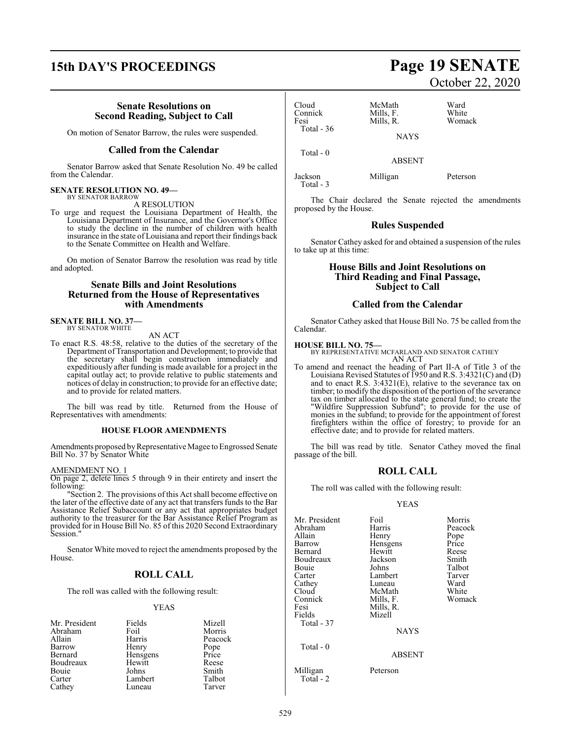# **15th DAY'S PROCEEDINGS Page 19 SENATE**

#### **Senate Resolutions on Second Reading, Subject to Call**

On motion of Senator Barrow, the rules were suspended.

#### **Called from the Calendar**

Senator Barrow asked that Senate Resolution No. 49 be called from the Calendar.

#### **SENATE RESOLUTION NO. 49—** BY SENATOR BARROW

A RESOLUTION

To urge and request the Louisiana Department of Health, the Louisiana Department of Insurance, and the Governor's Office to study the decline in the number of children with health insurance in the state of Louisiana and report their findings back to the Senate Committee on Health and Welfare.

On motion of Senator Barrow the resolution was read by title and adopted.

#### **Senate Bills and Joint Resolutions Returned from the House of Representatives with Amendments**

**SENATE BILL NO. 37—** BY SENATOR WHITE

AN ACT

To enact R.S. 48:58, relative to the duties of the secretary of the Department ofTransportation and Development; to provide that the secretary shall begin construction immediately and expeditiously after funding is made available for a project in the capital outlay act; to provide relative to public statements and notices of delay in construction; to provide for an effective date; and to provide for related matters.

The bill was read by title. Returned from the House of Representatives with amendments:

#### **HOUSE FLOOR AMENDMENTS**

Amendments proposed byRepresentative Magee to Engrossed Senate Bill No. 37 by Senator White

#### AMENDMENT NO. 1

On page 2, delete lines 5 through 9 in their entirety and insert the following:

"Section 2. The provisions of this Act shall become effective on the later of the effective date of any act that transfers funds to the Bar Assistance Relief Subaccount or any act that appropriates budget authority to the treasurer for the Bar Assistance Relief Program as provided for in House Bill No. 85 of this 2020 Second Extraordinary Session."

Senator White moved to reject the amendments proposed by the House.

### **ROLL CALL**

The roll was called with the following result:

#### YEAS

| Mr. President | Fields   | Mizell  |
|---------------|----------|---------|
| Abraham       | Foil     | Morris  |
| Allain        | Harris   | Peacock |
| Barrow        | Henry    | Pope    |
| Bernard       | Hensgens | Price   |
| Boudreaux     | Hewitt   | Reese   |
| Bouie         | Johns    | Smith   |
| Carter        | Lambert  | Talbot  |
| Cathey        | Luneau   | Tarver  |

## Cloud McMath Ward<br>
Connick Mills, F. White Connick Mills, F. White<br>
Fesi Mills, R. Womack Total - 36

Total - 0

Total - 3

Mills, R. NAYS

ABSENT

Jackson Milligan Peterson

The Chair declared the Senate rejected the amendments proposed by the House.

#### **Rules Suspended**

Senator Cathey asked for and obtained a suspension of the rules to take up at this time:

#### **House Bills and Joint Resolutions on Third Reading and Final Passage, Subject to Call**

#### **Called from the Calendar**

Senator Cathey asked that House Bill No. 75 be called from the Calendar.

**HOUSE BILL NO. 75—** BY REPRESENTATIVE MCFARLAND AND SENATOR CATHEY AN ACT

To amend and reenact the heading of Part II-A of Title 3 of the Louisiana Revised Statutes of 1950 and R.S. 3:4321(C) and (D) and to enact R.S. 3:4321(E), relative to the severance tax on timber; to modify the disposition of the portion of the severance tax on timber allocated to the state general fund; to create the "Wildfire Suppression Subfund"; to provide for the use of monies in the subfund; to provide for the appointment of forest firefighters within the office of forestry; to provide for an effective date; and to provide for related matters.

The bill was read by title. Senator Cathey moved the final passage of the bill.

### **ROLL CALL**

The roll was called with the following result:

#### YEAS

| Mr. President         | Foil          | Morris  |
|-----------------------|---------------|---------|
| Abraham               | Harris        | Peacock |
| Allain                | Henry         | Pope    |
| Barrow                | Hensgens      | Price   |
| Bernard               | Hewitt        | Reese   |
| Boudreaux             | Jackson       | Smith   |
| Bouie                 | Johns         | Talbot  |
| Carter                | Lambert       | Tarver  |
| Cathey                | Luneau        | Ward    |
| Cloud                 | McMath        | White   |
| Connick               | Mills, F.     | Womack  |
| Fesi                  | Mills, R.     |         |
| Fields                | Mizell        |         |
| Total - 37            |               |         |
|                       | <b>NAYS</b>   |         |
| Total - 0             |               |         |
|                       | <b>ABSENT</b> |         |
| Milligan<br>Total - 2 | Peterson      |         |

# October 22, 2020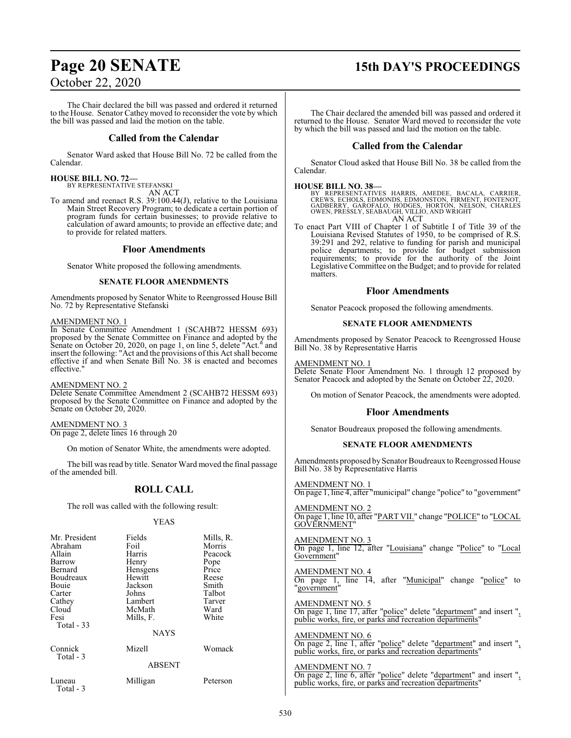# **Page 20 SENATE 15th DAY'S PROCEEDINGS**

## October 22, 2020

The Chair declared the bill was passed and ordered it returned to the House. Senator Cathey moved to reconsider the vote by which the bill was passed and laid the motion on the table.

#### **Called from the Calendar**

Senator Ward asked that House Bill No. 72 be called from the Calendar.

#### **HOUSE BILL NO. 72—**

BY REPRESENTATIVE STEFANSKI AN ACT

To amend and reenact R.S. 39:100.44(J), relative to the Louisiana Main Street Recovery Program; to dedicate a certain portion of program funds for certain businesses; to provide relative to calculation of award amounts; to provide an effective date; and to provide for related matters.

#### **Floor Amendments**

Senator White proposed the following amendments.

#### **SENATE FLOOR AMENDMENTS**

Amendments proposed by Senator White to Reengrossed House Bill No. 72 by Representative Stefanski

#### AMENDMENT NO. 1

In Senate Committee Amendment 1 (SCAHB72 HESSM 693) proposed by the Senate Committee on Finance and adopted by the Senate on October 20, 2020, on page 1, on line 5, delete "Act." and insert the following: "Act and the provisions of this Act shall become effective if and when Senate Bill No. 38 is enacted and becomes effective."

#### AMENDMENT NO. 2

Delete Senate Committee Amendment 2 (SCAHB72 HESSM 693) proposed by the Senate Committee on Finance and adopted by the Senate on October 20, 2020.

AMENDMENT NO. 3 On page 2, delete lines 16 through 20

On motion of Senator White, the amendments were adopted.

The bill was read by title. Senator Ward moved the final passage of the amended bill.

## **ROLL CALL**

The roll was called with the following result:

#### YEAS

| Mr. President        | Fields        | Mills, R. |
|----------------------|---------------|-----------|
| Abraham              | Foil          | Morris    |
| Allain               | Harris        | Peacock   |
| Barrow               | Henry         | Pope      |
| Bernard              | Hensgens      | Price     |
| Boudreaux            | Hewitt        | Reese     |
| Bouie                | Jackson       | Smith     |
| Carter               | Johns         | Talbot    |
| Cathey               | Lambert       | Tarver    |
| Cloud                | McMath        | Ward      |
| Fesi                 | Mills, F.     | White     |
| Total $-33$          |               |           |
|                      | <b>NAYS</b>   |           |
| Connick<br>Total - 3 | Mizell        | Womack    |
|                      | <b>ABSENT</b> |           |
| Luneau<br>Total - 3  | Milligan      | Peterson  |

The Chair declared the amended bill was passed and ordered it returned to the House. Senator Ward moved to reconsider the vote by which the bill was passed and laid the motion on the table.

#### **Called from the Calendar**

Senator Cloud asked that House Bill No. 38 be called from the Calendar.

#### **HOUSE BILL NO. 38—**

BY REPRESENTATIVES HARRIS, AMEDEE, BACALA, CARRIER,<br>CREWS, ECHOLS, EDMONDS, EDMONSTON, FIRMENT, FONTENOT,<br>GADBERRY, GAROFALO, HODGES, HORTON, NELSON, CHARLES<br>OWEN, PRESSLY, SEABAUGH, VILLIO, AND WRIGHT<br>AN ACT

To enact Part VIII of Chapter 1 of Subtitle I of Title 39 of the Louisiana Revised Statutes of 1950, to be comprised of R.S. 39:291 and 292, relative to funding for parish and municipal police departments; to provide for budget submission requirements; to provide for the authority of the Joint Legislative Committee on the Budget; and to provide for related matters.

#### **Floor Amendments**

Senator Peacock proposed the following amendments.

#### **SENATE FLOOR AMENDMENTS**

Amendments proposed by Senator Peacock to Reengrossed House Bill No. 38 by Representative Harris

#### AMENDMENT NO. 1

Delete Senate Floor Amendment No. 1 through 12 proposed by Senator Peacock and adopted by the Senate on October 22, 2020.

On motion of Senator Peacock, the amendments were adopted.

#### **Floor Amendments**

Senator Boudreaux proposed the following amendments.

#### **SENATE FLOOR AMENDMENTS**

Amendments proposed by Senator Boudreaux to Reengrossed House Bill No. 38 by Representative Harris

AMENDMENT NO. 1 On page 1, line 4, after "municipal" change "police" to "government"

AMENDMENT NO. 2 On page 1, line 10, after "PART VII." change "POLICE" to "LOCAL GOVERNMENT"

AMENDMENT NO. 3 On page 1, line 12, after "Louisiana" change "Police" to "Local Government"

AMENDMENT NO. 4 On page 1, line 14, after "Municipal" change "police" to "government"

AMENDMENT NO. 5 On page 1, line 17, after "police" delete "department" and insert ", public works, fire, or parks and recreation departments

AMENDMENT NO. 6 On page 2, line 1, after "police" delete "department" and insert ", public works, fire, or parks and recreation departments"

#### AMENDMENT NO. 7 On page 2, line 6, after "police" delete "department" and insert ", public works, fire, or parks and recreation departments'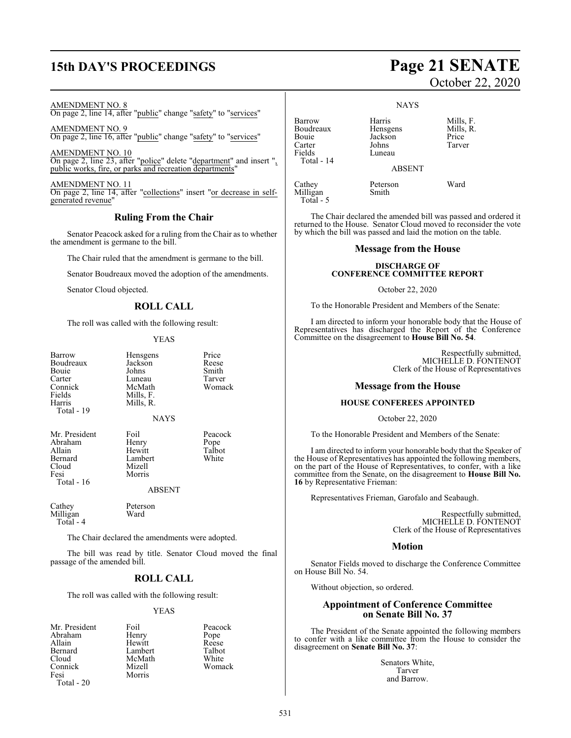# **15th DAY'S PROCEEDINGS Page 21 SENATE**

AMENDMENT NO. 8

On page 2, line 14, after "public" change "safety" to "services"

AMENDMENT NO. 9 On page 2, line 16, after "public" change "safety" to "services"

AMENDMENT NO. 10 On page 2, line 23, after "police" delete "department" and insert ", public works, fire, or parks and recreation departments'

AMENDMENT NO. 11 On page 2, line 14, after "collections" insert "or decrease in selfgenerated revenue"

#### **Ruling From the Chair**

Senator Peacock asked for a ruling from the Chair as to whether the amendment is germane to the bill.

The Chair ruled that the amendment is germane to the bill.

Senator Boudreaux moved the adoption of the amendments.

Senator Cloud objected.

## **ROLL CALL**

The roll was called with the following result:

#### YEAS

| Barrow     | Hensgens  | Price        |
|------------|-----------|--------------|
| Boudreaux  | Jackson   | Reese        |
| Bouie      | Johns     | Smith        |
| Carter     | Luneau    | <b>Tarve</b> |
| Connick    | McMath    | Woma         |
| Fields     | Mills, F. |              |
| Harris     | Mills, R. |              |
| Total - 19 |           |              |
|            |           |              |

Luneau Tarver<br>
McMath Womack McMath Mills, F. Mills, R. NAYS

Mr. President Foil Peacock<br>Abraham Henry Pope Abraham Henry Pope<br>
Allain Hewitt Talbot Allain Hewitt Talbot<br>Bernard Lambert White Bernard Lambert<br>Cloud Mizell Cloud Mizell<br>Fesi Morris Total - 16

Morris

ABSENT

Cathey Peterson<br>Milligan Ward Milligan Total - 4

The Chair declared the amendments were adopted.

The bill was read by title. Senator Cloud moved the final passage of the amended bill.

### **ROLL CALL**

The roll was called with the following result:

#### YEAS

| Mr. President | Foil    | Peacock |
|---------------|---------|---------|
| Abraham       | Henry   | Pope    |
| Allain        | Hewitt  | Reese   |
| Bernard       | Lambert | Talbot  |
| Cloud         | McMath  | White   |
| Connick       | Mizell  | Womack  |
| Fesi          | Morris  |         |
|               |         |         |

Total - 20

# October 22, 2020

**NAYS** 

Barrow Harris Mills, F.<br>Boudreaux Hensgens Mills, R. Boudreaux Hensgens Mills,<br>Bouie Jackson Price Bouie Jackson Price Carter Johns<br>Fields Lunea Total - 14

Milligan

Luneau

ABSENT

Cathey Peterson Ward Total - 5

The Chair declared the amended bill was passed and ordered it returned to the House. Senator Cloud moved to reconsider the vote by which the bill was passed and laid the motion on the table.

#### **Message from the House**

#### **DISCHARGE OF CONFERENCE COMMITTEE REPORT**

#### October 22, 2020

To the Honorable President and Members of the Senate:

I am directed to inform your honorable body that the House of Representatives has discharged the Report of the Conference Committee on the disagreement to **House Bill No. 54**.

> Respectfully submitted, MICHELLE D. FONTENOT Clerk of the House of Representatives

#### **Message from the House**

#### **HOUSE CONFEREES APPOINTED**

October 22, 2020

To the Honorable President and Members of the Senate:

I am directed to inform your honorable body that the Speaker of the House of Representatives has appointed the following members, on the part of the House of Representatives, to confer, with a like committee from the Senate, on the disagreement to **House Bill No. 16** by Representative Frieman:

Representatives Frieman, Garofalo and Seabaugh.

Respectfully submitted, MICHELLE D. FONTENOT Clerk of the House of Representatives

#### **Motion**

Senator Fields moved to discharge the Conference Committee on House Bill No. 54.

Without objection, so ordered.

#### **Appointment of Conference Committee on Senate Bill No. 37**

The President of the Senate appointed the following members to confer with a like committee from the House to consider the disagreement on **Senate Bill No. 37**:

> Senators White, Tarver and Barrow.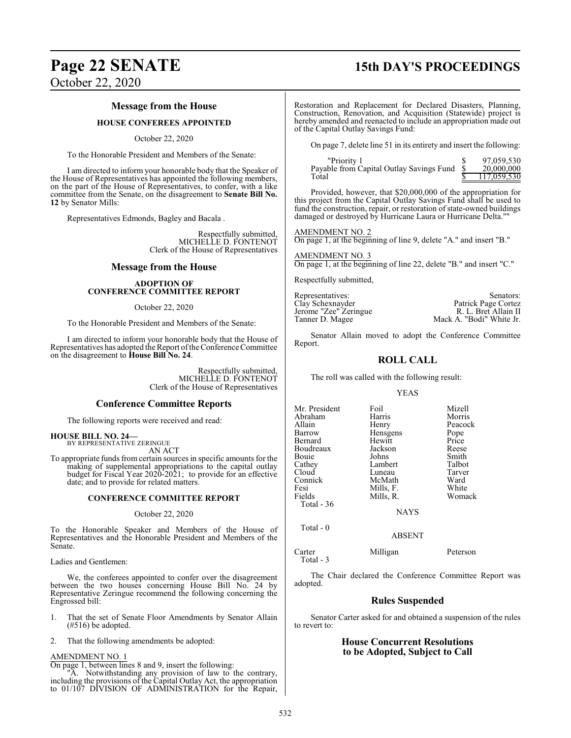# **Page 22 SENATE 15th DAY'S PROCEEDINGS**

October 22, 2020

### **Message from the House**

#### **HOUSE CONFEREES APPOINTED**

October 22, 2020

To the Honorable President and Members of the Senate:

I am directed to inform your honorable body that the Speaker of the House of Representatives has appointed the following members, on the part of the House of Representatives, to confer, with a like committee from the Senate, on the disagreement to **Senate Bill No. 12** by Senator Mills:

Representatives Edmonds, Bagley and Bacala .

Respectfully submitted, MICHELLE D. FONTENOT Clerk of the House of Representatives

#### **Message from the House**

#### **ADOPTION OF CONFERENCE COMMITTEE REPORT**

October 22, 2020

To the Honorable President and Members of the Senate:

I am directed to inform your honorable body that the House of Representatives has adopted the Report of the Conference Committee on the disagreement to **House Bill No. 24**.

> Respectfully submitted, MICHELLE D. FONTENOT Clerk of the House of Representatives

#### **Conference Committee Reports**

The following reports were received and read:

# **HOUSE BILL NO. 24—** BY REPRESENTATIVE ZERINGUE

AN ACT

To appropriate funds from certain sources in specific amounts for the making of supplemental appropriations to the capital outlay budget for Fiscal Year 2020-2021; to provide for an effective date; and to provide for related matters.

#### **CONFERENCE COMMITTEE REPORT**

#### October 22, 2020

To the Honorable Speaker and Members of the House of Representatives and the Honorable President and Members of the Senate.

Ladies and Gentlemen:

We, the conferees appointed to confer over the disagreement between the two houses concerning House Bill No. 24 by Representative Zeringue recommend the following concerning the Engrossed bill:

- 1. That the set of Senate Floor Amendments by Senator Allain (#516) be adopted.
- 2. That the following amendments be adopted:

#### AMENDMENT NO. 1

On page 1, between lines 8 and 9, insert the following:

"A. Notwithstanding any provision of law to the contrary, including the provisions of the Capital Outlay Act, the appropriation to 01/107 DIVISION OF ADMINISTRATION for the Repair, Restoration and Replacement for Declared Disasters, Planning, Construction, Renovation, and Acquisition (Statewide) project is hereby amended and reenacted to include an appropriation made out of the Capital Outlay Savings Fund:

On page 7, delete line 51 in its entirety and insert the following:

| "Priority 1                              | 97,059,530  |
|------------------------------------------|-------------|
| Payable from Capital Outlay Savings Fund | 20,000,000  |
| Total                                    | 117.059.530 |

Provided, however, that \$20,000,000 of the appropriation for this project from the Capital Outlay Savings Fund shall be used to fund the construction, repair, or restoration of state-owned buildings damaged or destroyed by Hurricane Laura or Hurricane Delta.'

AMENDMENT NO. 2 On page 1, at the beginning of line 9, delete "A." and insert "B."

AMENDMENT NO. 3 On page 1, at the beginning of line 22, delete "B." and insert "C."

Respectfully submitted,

Representatives: Senators: Senators: Senators: Senators: Senators: Senators: Senators: Senators: Senators: Senators: Senators: Senators: Senators: Senators: Senators: Senators: Senators: Senators: Senators: Senators: Senat Patrick Page Cortez<br>R. L. Bret Allain II Jerome "Zee" Zeringue<br>Tanner D. Magee Mack A. "Bodi" White Jr.

Senator Allain moved to adopt the Conference Committee Report.

#### **ROLL CALL**

The roll was called with the following result:

#### YEAS

| Mr. President | Foil      | Mizell  |
|---------------|-----------|---------|
|               |           |         |
| Abraham       | Harris    | Morris  |
| Allain        | Henry     | Peacock |
| Barrow        | Hensgens  | Pope    |
| Bernard       | Hewitt    | Price   |
| Boudreaux     | Jackson   | Reese   |
| Bouie         | Johns     | Smith   |
| Cathey        | Lambert   | Talbot  |
| Cloud         | Luneau    | Tarver  |
| Connick       | McMath    | Ward    |
| Fesi          | Mills, F. | White   |
| Fields        | Mills, R. | Womack  |
| Total - 36    |           |         |
|               |           |         |

**NAYS** 

Total - 0

Total - 3

Carter Milligan Peterson

The Chair declared the Conference Committee Report was adopted.

ABSENT

#### **Rules Suspended**

Senator Carter asked for and obtained a suspension of the rules to revert to:

### **House Concurrent Resolutions to be Adopted, Subject to Call**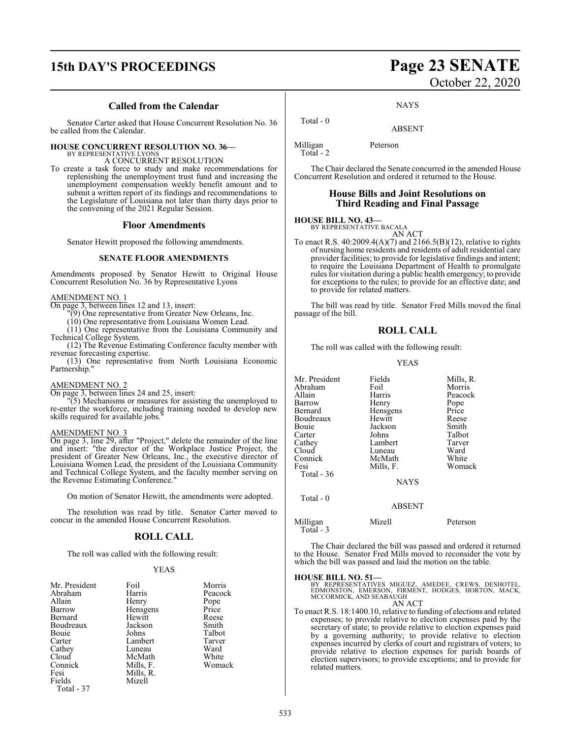# **15th DAY'S PROCEEDINGS Page 23 SENATE**

#### **Called from the Calendar**

Senator Carter asked that House Concurrent Resolution No. 36 be called from the Calendar.

#### **HOUSE CONCURRENT RESOLUTION NO. 36—**

BY REPRESENTATIVE LYONS A CONCURRENT RESOLUTION

To create a task force to study and make recommendations for replenishing the unemployment trust fund and increasing the unemployment compensation weekly benefit amount and to submit a written report of its findings and recommendations to the Legislature of Louisiana not later than thirty days prior to the convening of the 2021 Regular Session.

#### **Floor Amendments**

Senator Hewitt proposed the following amendments.

#### **SENATE FLOOR AMENDMENTS**

Amendments proposed by Senator Hewitt to Original House Concurrent Resolution No. 36 by Representative Lyons

#### AMENDMENT NO. 1

On page 3, between lines 12 and 13, insert:

"(9) One representative from Greater New Orleans, Inc.

(10) One representative from Louisiana Women Lead.

(11) One representative from the Louisiana Community and Technical College System.

(12) The Revenue Estimating Conference faculty member with revenue forecasting expertise.

(13) One representative from North Louisiana Economic Partnership."

#### AMENDMENT NO. 2

On page 3, between lines 24 and 25, insert:

"(5) Mechanisms or measures for assisting the unemployed to re-enter the workforce, including training needed to develop new skills required for available jobs.

#### AMENDMENT NO. 3

On page 3, line 29, after "Project," delete the remainder of the line and insert: "the director of the Workplace Justice Project, the president of Greater New Orleans, Inc., the executive director of Louisiana Women Lead, the president of the Louisiana Community and Technical College System, and the faculty member serving on the Revenue Estimating Conference."

On motion of Senator Hewitt, the amendments were adopted.

The resolution was read by title. Senator Carter moved to concur in the amended House Concurrent Resolution.

#### **ROLL CALL**

The roll was called with the following result:

#### YEAS

| Mr. President | Foil      | Morris  |
|---------------|-----------|---------|
| Abraham       | Harris    | Peacock |
| Allain        | Henry     | Pope    |
| Barrow        | Hensgens  | Price   |
| Bernard       | Hewitt    | Reese   |
| Boudreaux     | Jackson   | Smith   |
| Bouie         | Johns     | Talbot  |
| Carter        | Lambert   | Tarver  |
| Cathey        | Luneau    | Ward    |
| Cloud         | McMath    | White   |
| Connick       | Mills, F. | Womack  |
| Fesi          | Mills, R. |         |
| Fields        | Mizell    |         |
| Total - 37    |           |         |

# October 22, 2020

**NAYS** 

ABSENT

Milligan Peterson Total - 2

Total - 0

The Chair declared the Senate concurred in the amended House Concurrent Resolution and ordered it returned to the House.

#### **House Bills and Joint Resolutions on Third Reading and Final Passage**

## **HOUSE BILL NO. 43—** BY REPRESENTATIVE BACALA

AN ACT

To enact R.S.  $40:2009.4(A)(7)$  and  $2166.5(B)(12)$ , relative to rights of nursing home residents and residents of adult residential care provider facilities; to provide for legislative findings and intent; to require the Louisiana Department of Health to promulgate rules for visitation during a public health emergency; to provide for exceptions to the rules; to provide for an effective date; and to provide for related matters.

The bill was read by title. Senator Fred Mills moved the final passage of the bill.

#### **ROLL CALL**

The roll was called with the following result:

#### YEAS

| Mr. President<br>Abraham | Fields<br>Foil | Mills, R.<br>Morris |
|--------------------------|----------------|---------------------|
| Allain                   | Harris         | Peacock             |
| Barrow                   | Henry          | Pope                |
| Bernard                  | Hensgens       | Price               |
| Boudreaux                | Hewitt         | Reese               |
| Bouie                    | Jackson        | Smith               |
| Carter                   | Johns          | Talbot              |
| Cathey                   | Lambert        | Tarver              |
| Cloud                    | Luneau         | Ward                |
| Connick                  | McMath         | White               |
| Fesi                     | Mills, F.      | Womack              |
| Total $-36$              |                |                     |
|                          | <b>NAYS</b>    |                     |
| Total $-0$               |                |                     |
|                          | <b>ABSENT</b>  |                     |
| Milligan                 | Mizell         | Peterson            |

The Chair declared the bill was passed and ordered it returned to the House. Senator Fred Mills moved to reconsider the vote by which the bill was passed and laid the motion on the table.

#### **HOUSE BILL NO. 51—**

Total - 3

| BY REPRESENTATIVES MIGUEZ, AMEDEE, CREWS, DESHOTEL. |  |  |
|-----------------------------------------------------|--|--|
| EDMONSTON, EMERSON, FIRMENT, HODGES, HORTON, MACK.  |  |  |
| MCCORMICK. AND SEABAUGH                             |  |  |
| ANT ACT                                             |  |  |

AN ACT To enact R.S. 18:1400.10, relative to funding of elections and related expenses; to provide relative to election expenses paid by the secretary of state; to provide relative to election expenses paid by a governing authority; to provide relative to election expenses incurred by clerks of court and registrars of voters; to provide relative to election expenses for parish boards of election supervisors; to provide exceptions; and to provide for related matters.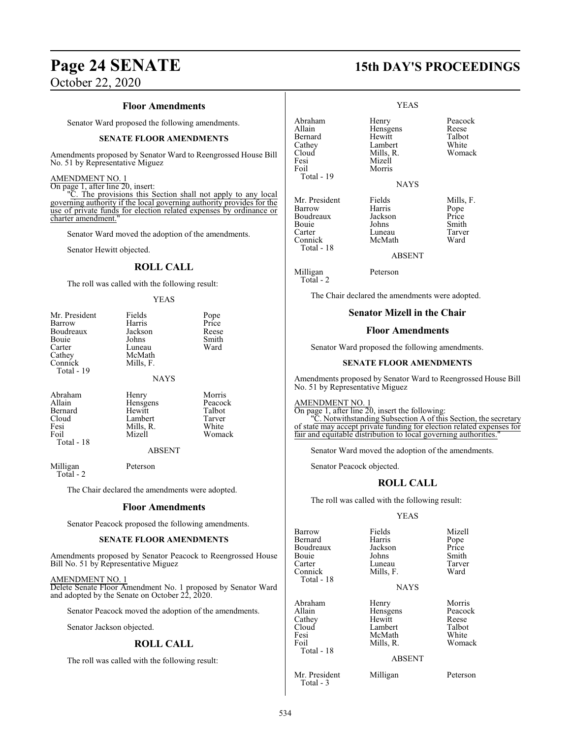# **Page 24 SENATE 15th DAY'S PROCEEDINGS**

October 22, 2020

#### **Floor Amendments**

Senator Ward proposed the following amendments.

#### **SENATE FLOOR AMENDMENTS**

Amendments proposed by Senator Ward to Reengrossed House Bill No. 51 by Representative Miguez

#### AMENDMENT NO. 1

On page 1, after line 20, insert:

"C. The provisions this Section shall not apply to any local governing authority if the local governing authority provides for the use of private funds for election related expenses by ordinance or charter amendment.

Senator Ward moved the adoption of the amendments.

Senator Hewitt objected.

#### **ROLL CALL**

The roll was called with the following result:

#### YEAS

| Mr. President<br>Barrow<br>Boudreaux | Fields<br>Harris<br>Jackson | Pope<br>Price<br>Reese |
|--------------------------------------|-----------------------------|------------------------|
| Bouie                                | Johns                       | Smith                  |
| Carter                               | Luneau                      | Ward                   |
| Cathey                               | McMath                      |                        |
| Connick<br>Total - 19                | Mills, F.                   |                        |
|                                      | <b>NAYS</b>                 |                        |
| Abraham                              | Henry                       | Morris                 |
| Allain                               | Hensgens                    | Peacock                |
| Bernard                              | Hewitt                      | Talbot                 |

Cloud Lambert Tarver Fesi Mills, R.<br>Foil Mizell Total - 18

ABSENT

Womack

Milligan Peterson Total - 2

The Chair declared the amendments were adopted.

#### **Floor Amendments**

Senator Peacock proposed the following amendments.

#### **SENATE FLOOR AMENDMENTS**

Amendments proposed by Senator Peacock to Reengrossed House Bill No. 51 by Representative Miguez

#### AMENDMENT NO. 1

Delete Senate Floor Amendment No. 1 proposed by Senator Ward and adopted by the Senate on October 22, 2020.

Senator Peacock moved the adoption of the amendments.

Senator Jackson objected.

#### **ROLL CALL**

The roll was called with the following result:

|                                                                                  | YEAS                                                                                   |                                                       |
|----------------------------------------------------------------------------------|----------------------------------------------------------------------------------------|-------------------------------------------------------|
| Abraham<br>Allain<br>Bernard<br>Cathey<br>Cloud<br>Fesi<br>Foil<br>Total - 19    | Henry<br>Hensgens<br>Hewitt<br>Lambert<br>Mills, R.<br>Mizell<br>Morris<br><b>NAYS</b> | Peacock<br>Reese<br>Talbot<br>White<br>Womack         |
| Mr. President<br>Barrow<br>Boudreaux<br>Bouie<br>Carter<br>Connick<br>Total - 18 | Fields<br>Harris<br>Jackson<br>Johns<br>Luneau<br>McMath<br>ABSENT                     | Mills, F.<br>Pope<br>Price<br>Smith<br>Tarver<br>Ward |

Milligan Peterson Total - 2

The Chair declared the amendments were adopted.

#### **Senator Mizell in the Chair**

#### **Floor Amendments**

Senator Ward proposed the following amendments.

#### **SENATE FLOOR AMENDMENTS**

Amendments proposed by Senator Ward to Reengrossed House Bill No. 51 by Representative Miguez

#### AMENDMENT NO. 1

On page 1, after line 20, insert the following: <sup>'</sup>C. Notwithstanding Subsection A of this Section, the secretary of state may accept private funding for election related expenses for fair and equitable distribution to local governing authorities."

Senator Ward moved the adoption of the amendments.

Senator Peacock objected.

#### **ROLL CALL**

The roll was called with the following result:

#### YEAS

| Barrow<br>Bernard<br>Boudreaux<br>Bouie<br>Carter<br>Connick<br>Total - 18 | Fields<br>Harris<br>Jackson<br>Johns<br>Luneau<br>Mills, F.                    | Mizell<br>Pope<br>Price<br>Smith<br>Tarver<br>Ward      |
|----------------------------------------------------------------------------|--------------------------------------------------------------------------------|---------------------------------------------------------|
|                                                                            | <b>NAYS</b>                                                                    |                                                         |
| Abraham<br>Allain<br>Cathey<br>Cloud<br>Fesi<br>Foil<br>Total - 18         | Henry<br>Hensgens<br>Hewitt<br>Lambert<br>McMath<br>Mills, R.<br><b>ABSENT</b> | Morris<br>Peacock<br>Reese<br>Talbot<br>White<br>Womack |
| Mr. President                                                              | Milligan                                                                       | Peterson                                                |

Total - 3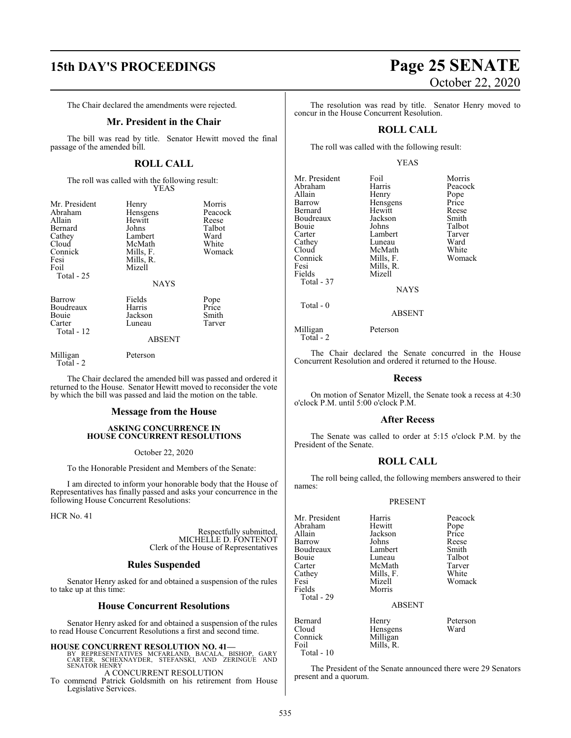# **15th DAY'S PROCEEDINGS Page 25 SENATE**

The Chair declared the amendments were rejected.

#### **Mr. President in the Chair**

The bill was read by title. Senator Hewitt moved the final passage of the amended bill.

## **ROLL CALL**

The roll was called with the following result: YEAS

| Mr. President<br>Abraham<br>Allain<br>Bernard<br>Cathey<br>Cloud<br>Connick<br>Fesi<br>Foil<br>Total - 25 | Henry<br>Hensgens<br>Hewitt<br>Johns<br>Lambert<br>McMath<br>Mills, F.<br>Mills, R.<br>Mizell<br><b>NAYS</b> | Morris<br>Peacock<br>Reese<br>Talbot<br>Ward<br>White<br>Womack |
|-----------------------------------------------------------------------------------------------------------|--------------------------------------------------------------------------------------------------------------|-----------------------------------------------------------------|
| Barrow<br>Boudreaux<br>Bouie<br>Carter<br>Total - 12                                                      | Fields<br>Harris<br>Jackson<br>Luneau<br><b>ABSENT</b>                                                       | Pope<br>Price<br>Smith<br>Tarver                                |
| Milligan<br>Total - 2                                                                                     | Peterson                                                                                                     |                                                                 |

The Chair declared the amended bill was passed and ordered it returned to the House. Senator Hewitt moved to reconsider the vote by which the bill was passed and laid the motion on the table.

#### **Message from the House**

#### **ASKING CONCURRENCE IN HOUSE CONCURRENT RESOLUTIONS**

#### October 22, 2020

To the Honorable President and Members of the Senate:

I am directed to inform your honorable body that the House of Representatives has finally passed and asks your concurrence in the following House Concurrent Resolutions:

HCR No. 41

Respectfully submitted, MICHELLE D. FONTENOT Clerk of the House of Representatives

#### **Rules Suspended**

Senator Henry asked for and obtained a suspension of the rules to take up at this time:

#### **House Concurrent Resolutions**

Senator Henry asked for and obtained a suspension of the rules to read House Concurrent Resolutions a first and second time.

#### **HOUSE CONCURRENT RESOLUTION NO. 41—**

BY REPRESENTATIVES MCFARLAND, BACALA, BISHOP, GARY<br>CARTER, SCHEXNAYDER, STEFANSKI, AND ZERINGUE AND<br>SENATORHENRY A CONCURRENT RESOLUTION

To commend Patrick Goldsmith on his retirement from House Legislative Services.

White Womack

The resolution was read by title. Senator Henry moved to concur in the House Concurrent Resolution.

#### **ROLL CALL**

The roll was called with the following result:

#### YEAS

| Mr. President<br>Abraham<br>Allain<br>Barrow<br>Bernard<br>Boudreaux<br>Bouie<br>Carter<br>Cathey<br>Cloud<br>Connick<br>Fesi<br>Fields<br>Total - 37 | Foil<br>Harris<br>Henry<br>Hensgens<br>Hewitt<br>Jackson<br>Johns<br>Lambert<br>Luneau<br>McMath<br>Mills, F.<br>Mills, R.<br>Mizell | Morris<br>Peacock<br>Pope<br>Price<br>Reese<br>Smith<br>Talbot<br>Tarver<br>Ward<br>White<br>Womack |
|-------------------------------------------------------------------------------------------------------------------------------------------------------|--------------------------------------------------------------------------------------------------------------------------------------|-----------------------------------------------------------------------------------------------------|
|                                                                                                                                                       | <b>NAYS</b>                                                                                                                          |                                                                                                     |
| Total - 0                                                                                                                                             | <b>ABSENT</b>                                                                                                                        |                                                                                                     |
| Milligan                                                                                                                                              | Peterson                                                                                                                             |                                                                                                     |

Total - 2

The Chair declared the Senate concurred in the House Concurrent Resolution and ordered it returned to the House.

#### **Recess**

On motion of Senator Mizell, the Senate took a recess at 4:30 o'clock P.M. until 5:00 o'clock P.M.

#### **After Recess**

The Senate was called to order at 5:15 o'clock P.M. by the President of the Senate.

### **ROLL CALL**

The roll being called, the following members answered to their names:

#### PRESENT

| Harris        | Peacock                                                 |
|---------------|---------------------------------------------------------|
| Hewitt        | Pope                                                    |
| Jackson       | Price                                                   |
| Johns         | Reese                                                   |
| Lambert       | Smith                                                   |
| Luneau        | Talbot                                                  |
| McMath        | Tarver                                                  |
|               | White                                                   |
| Mizell        | Womack                                                  |
| Morris        |                                                         |
|               |                                                         |
| <b>ABSENT</b> |                                                         |
|               | Peterson                                                |
|               | Ward                                                    |
|               |                                                         |
|               |                                                         |
|               | Mills, F.<br>Henry<br>Hensgens<br>Milligan<br>Mills, R. |

The President of the Senate announced there were 29 Senators present and a quorum.

Total - 10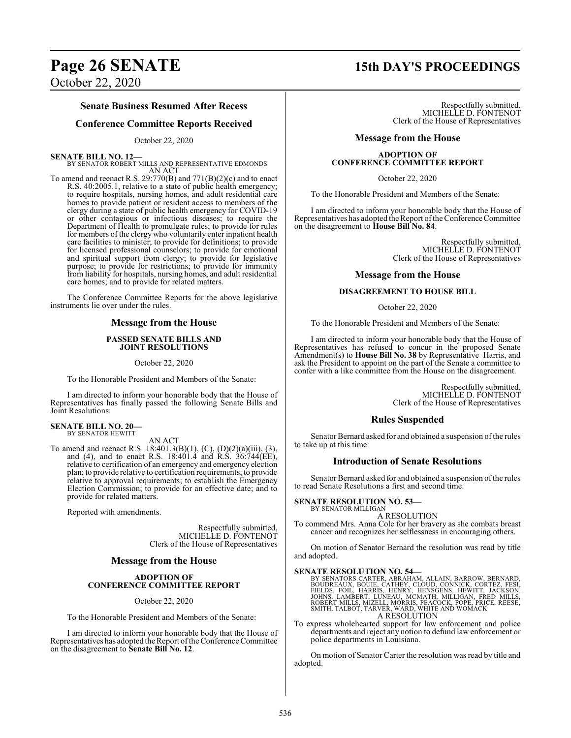### **Senate Business Resumed After Recess**

#### **Conference Committee Reports Received**

#### October 22, 2020

**SENATE BILL NO. 12—**

BY SENATOR ROBERT MILLS AND REPRESENTATIVE EDMONDS AN ACT

To amend and reenact R.S. 29:770(B) and 771(B)(2)(c) and to enact R.S. 40:2005.1, relative to a state of public health emergency; to require hospitals, nursing homes, and adult residential care homes to provide patient or resident access to members of the clergy during a state of public health emergency for COVID-19 or other contagious or infectious diseases; to require the Department of Health to promulgate rules; to provide for rules for members of the clergy who voluntarily enter inpatient health care facilities to minister; to provide for definitions; to provide for licensed professional counselors; to provide for emotional and spiritual support from clergy; to provide for legislative purpose; to provide for restrictions; to provide for immunity from liability for hospitals, nursing homes, and adult residential care homes; and to provide for related matters.

The Conference Committee Reports for the above legislative instruments lie over under the rules.

#### **Message from the House**

#### **PASSED SENATE BILLS AND JOINT RESOLUTIONS**

October 22, 2020

To the Honorable President and Members of the Senate:

I am directed to inform your honorable body that the House of Representatives has finally passed the following Senate Bills and Joint Resolutions:

# **SENATE BILL NO. 20—** BY SENATOR HEWITT

AN ACT

To amend and reenact R.S. 18:401.3(B)(1), (C), (D)(2)(a)(iii), (3), and (4), and to enact R.S. 18:401.4 and R.S. 36:744(EE), relative to certification of an emergency and emergency election plan; to provide relative to certification requirements; to provide relative to approval requirements; to establish the Emergency Election Commission; to provide for an effective date; and to provide for related matters.

Reported with amendments.

Respectfully submitted, MICHELLE D. FONTENOT Clerk of the House of Representatives

#### **Message from the House**

#### **ADOPTION OF CONFERENCE COMMITTEE REPORT**

October 22, 2020

To the Honorable President and Members of the Senate:

I am directed to inform your honorable body that the House of Representatives has adopted the Report of the Conference Committee on the disagreement to **Senate Bill No. 12**.

# **Page 26 SENATE 15th DAY'S PROCEEDINGS**

Respectfully submitted, MICHELLE D. FONTENOT Clerk of the House of Representatives

#### **Message from the House**

#### **ADOPTION OF CONFERENCE COMMITTEE REPORT**

#### October 22, 2020

To the Honorable President and Members of the Senate:

I am directed to inform your honorable body that the House of Representatives has adopted the Report of the Conference Committee on the disagreement to **House Bill No. 84**.

> Respectfully submitted, MICHELLE D. FONTENOT Clerk of the House of Representatives

#### **Message from the House**

#### **DISAGREEMENT TO HOUSE BILL**

October 22, 2020

To the Honorable President and Members of the Senate:

I am directed to inform your honorable body that the House of Representatives has refused to concur in the proposed Senate Amendment(s) to **House Bill No. 38** by Representative Harris, and ask the President to appoint on the part of the Senate a committee to confer with a like committee from the House on the disagreement.

> Respectfully submitted, MICHELLE D. FONTENOT Clerk of the House of Representatives

#### **Rules Suspended**

Senator Bernard asked for and obtained a suspension of the rules to take up at this time:

#### **Introduction of Senate Resolutions**

Senator Bernard asked for and obtained a suspension of the rules to read Senate Resolutions a first and second time.

#### **SENATE RESOLUTION NO. 53—** BY SENATOR MILLIGAN

A RESOLUTION

To commend Mrs. Anna Cole for her bravery as she combats breast cancer and recognizes her selflessness in encouraging others.

On motion of Senator Bernard the resolution was read by title and adopted.

SENATE RESOLUTION NO. 54—<br>BY SENATORS CARTER, ABRAHAM, ALLAIN, BARROW, BERNARD,<br>BOUDREAUX, BOUIE, CATHEY, CLOUD, CONNICK, CORTEZ, FESI,<br>FIELDS, FOIL, HARRIS, HENRY, HENSGENS, HEWITT, JACKSON,<br>JOHNS, LAMBERT, LUNEAU, MCMATH

To express wholehearted support for law enforcement and police departments and reject any notion to defund law enforcement or police departments in Louisiana.

On motion of Senator Carter the resolution was read by title and adopted.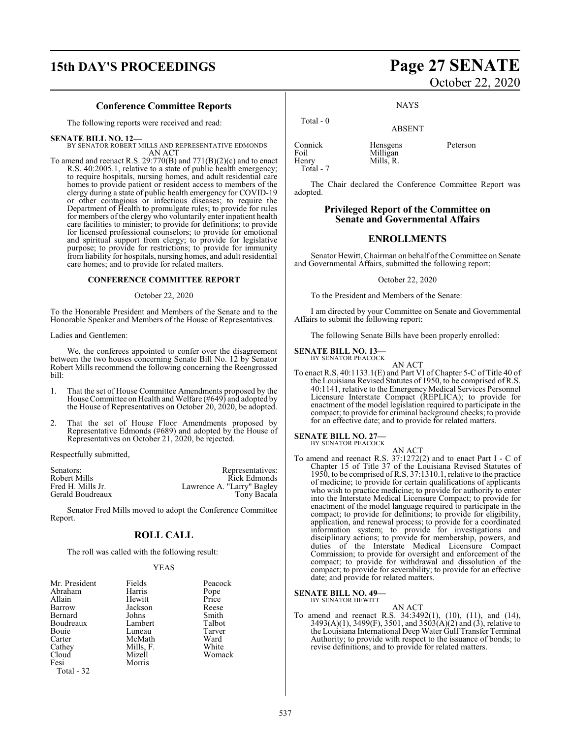# **15th DAY'S PROCEEDINGS Page 27 SENATE**

#### **Conference Committee Reports**

The following reports were received and read:

**SENATE BILL NO. 12—** BY SENATOR ROBERT MILLS AND REPRESENTATIVE EDMONDS AN ACT

To amend and reenact R.S. 29:770(B) and 771(B)(2)(c) and to enact R.S. 40:2005.1, relative to a state of public health emergency; to require hospitals, nursing homes, and adult residential care homes to provide patient or resident access to members of the clergy during a state of public health emergency for COVID-19 or other contagious or infectious diseases; to require the Department of Health to promulgate rules; to provide for rules for members of the clergy who voluntarily enter inpatient health care facilities to minister; to provide for definitions; to provide for licensed professional counselors; to provide for emotional and spiritual support from clergy; to provide for legislative purpose; to provide for restrictions; to provide for immunity from liability for hospitals, nursing homes, and adult residential care homes; and to provide for related matters.

#### **CONFERENCE COMMITTEE REPORT**

#### October 22, 2020

To the Honorable President and Members of the Senate and to the Honorable Speaker and Members of the House of Representatives.

#### Ladies and Gentlemen:

We, the conferees appointed to confer over the disagreement between the two houses concerning Senate Bill No. 12 by Senator Robert Mills recommend the following concerning the Reengrossed bill:

- 1. That the set of House Committee Amendments proposed by the House Committee on Health and Welfare (#649) and adopted by the House of Representatives on October 20, 2020, be adopted.
- 2. That the set of House Floor Amendments proposed by Representative Edmonds (#689) and adopted by the House of Representatives on October 21, 2020, be rejected.

Respectfully submitted,

| Senators:         | Representatives:           |
|-------------------|----------------------------|
| Robert Mills      | Rick Edmonds               |
| Fred H. Mills Jr. | Lawrence A. "Larry" Bagley |
| Gerald Boudreaux  | Tony Bacala                |

Senator Fred Mills moved to adopt the Conference Committee Report.

### **ROLL CALL**

The roll was called with the following result:

#### YEAS

| Mr. President | Fields    | Peacock       |
|---------------|-----------|---------------|
| Abraham       | Harris    | Pope<br>Price |
| Allain        | Hewitt    |               |
| Barrow        | Jackson   | Reese         |
| Bernard       | Johns     | Smith         |
| Boudreaux     | Lambert   | Talbot        |
| Bouie         | Luneau    | Tarver        |
| Carter        | McMath    | Ward          |
| Cathey        | Mills, F. | White         |
| Cloud         | Mizell    | Womack        |
| Fesi          | Morris    |               |
| Total - 32    |           |               |

# October 22, 2020

**NAYS** 

#### ABSENT

Connick Hensgens Peterson Foil Milligan<br>Henry Mills, R. Total - 7

Total - 0

Mills, R.

The Chair declared the Conference Committee Report was adopted.

#### **Privileged Report of the Committee on Senate and Governmental Affairs**

#### **ENROLLMENTS**

Senator Hewitt, Chairman on behalf of the Committee on Senate and Governmental Affairs, submitted the following report:

#### October 22, 2020

To the President and Members of the Senate:

I am directed by your Committee on Senate and Governmental Affairs to submit the following report:

The following Senate Bills have been properly enrolled:

#### **SENATE BILL NO. 13—**

BY SENATOR PEACOCK

AN ACT To enact R.S. 40:1133.1(E) and Part VI of Chapter 5-C of Title 40 of the Louisiana Revised Statutes of 1950, to be comprised of R.S. 40:1141, relative to the Emergency Medical Services Personnel Licensure Interstate Compact (REPLICA); to provide for enactment of the model legislation required to participate in the compact; to provide for criminal background checks; to provide for an effective date; and to provide for related matters.

#### **SENATE BILL NO. 27—** BY SENATOR PEACOCK

- 
- AN ACT To amend and reenact R.S. 37:1272(2) and to enact Part I - C of Chapter 15 of Title 37 of the Louisiana Revised Statutes of 1950, to be comprised of R.S. 37:1310.1, relative to the practice of medicine; to provide for certain qualifications of applicants who wish to practice medicine; to provide for authority to enter into the Interstate Medical Licensure Compact; to provide for enactment of the model language required to participate in the compact; to provide for definitions; to provide for eligibility, application, and renewal process; to provide for a coordinated information system; to provide for investigations and disciplinary actions; to provide for membership, powers, and duties of the Interstate Medical Licensure Compact Commission; to provide for oversight and enforcement of the compact; to provide for withdrawal and dissolution of the compact; to provide for severability; to provide for an effective date; and provide for related matters.

## **SENATE BILL NO. 49—**<br>BY SENATOR HEWITT

AN ACT

To amend and reenact R.S. 34:3492(1), (10), (11), and (14), 3493(A)(1), 3499(F), 3501, and 3503(A)(2) and (3), relative to the Louisiana International Deep Water Gulf Transfer Terminal Authority; to provide with respect to the issuance of bonds; to revise definitions; and to provide for related matters.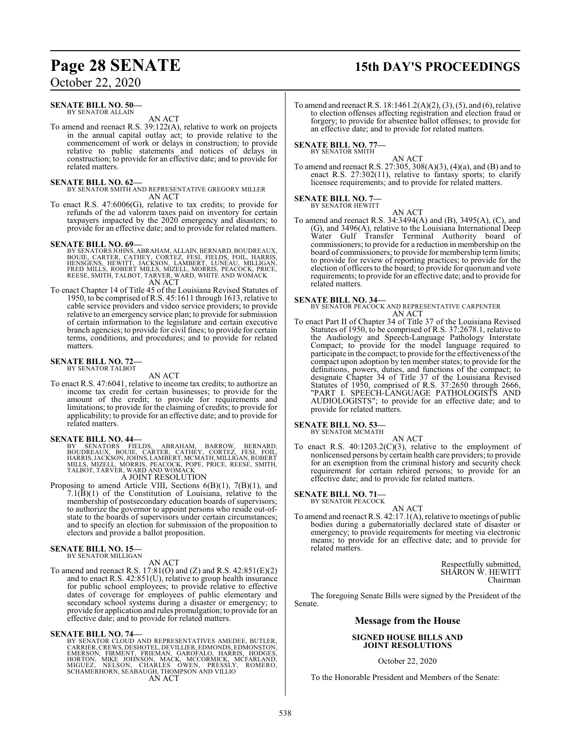# **Page 28 SENATE 15th DAY'S PROCEEDINGS**

October 22, 2020

#### **SENATE BILL NO. 50—** BY SENATOR ALLAIN

AN ACT

To amend and reenact R.S. 39:122(A), relative to work on projects in the annual capital outlay act; to provide relative to the commencement of work or delays in construction; to provide relative to public statements and notices of delays in construction; to provide for an effective date; and to provide for related matters.

#### **SENATE BILL NO. 62—**

BY SENATOR SMITH AND REPRESENTATIVE GREGORY MILLER AN ACT

To enact R.S. 47:6006(G), relative to tax credits; to provide for refunds of the ad valorem taxes paid on inventory for certain taxpayers impacted by the 2020 emergency and disasters; to provide for an effective date; and to provide for related matters.

#### **SENATE BILL NO. 69—**

- BY SENATORS JOHNS, ABRAHAM, ALLAIN, BERNARD, BOUDREAUX,<br>BOUIE, CARTER, CATHEY, CORTEZ, FESI, FIELDS, FOIL, HARRIS,<br>HENSGENS, HEWITT, JACKSON, LAMBERT, LUNEAU, MILLIGAN,<br>FRED MILLS, ROBERT MILLS, MIZELL, MO AN ACT
- To enact Chapter 14 of Title 45 of the Louisiana Revised Statutes of 1950, to be comprised of R.S. 45:1611 through 1613, relative to cable service providers and video service providers; to provide relative to an emergency service plan; to provide for submission of certain information to the legislature and certain executive branch agencies; to provide for civil fines; to provide for certain terms, conditions, and procedures; and to provide for related matters.

#### **SENATE BILL NO. 72—** BY SENATOR TALBOT

#### AN ACT

To enact R.S. 47:6041, relative to income tax credits; to authorize an income tax credit for certain businesses; to provide for the amount of the credit; to provide for requirements and limitations; to provide for the claiming of credits; to provide for applicability; to provide for an effective date; and to provide for related matters.

#### **SENATE BILL NO. 44—**

BY SENATORS FIELDS, ABRAHAM, BARROW, BERNARD,<br>BOUDREAUX, BOUIE, CARTER, CATHEY, CORTEZ, FESI, FOIL,<br>HARRIS,JACKSON,JOHNS,LAMBERT,MCMATH,MILLIGAN,ROBERT<br>MILLS,MIZELL,MORRIS,PEACOCK,POPE,PRICE,REESE,SMITH,<br>TALBÓT,TARVER,WARD

A JOINT RESOLUTION

Proposing to amend Article VIII, Sections 6(B)(1), 7(B)(1), and 7.1(B)(1) of the Constitution of Louisiana, relative to the membership of postsecondary education boards of supervisors; to authorize the governor to appoint persons who reside out-ofstate to the boards of supervisors under certain circumstances; and to specify an election for submission of the proposition to electors and provide a ballot proposition.

#### **SENATE BILL NO. 15—** BY SENATOR MILLIGAN

#### AN ACT

To amend and reenact R.S. 17:81(O) and (Z) and R.S. 42:851(E)(2) and to enact R.S. 42:851(U), relative to group health insurance for public school employees; to provide relative to effective dates of coverage for employees of public elementary and secondary school systems during a disaster or emergency; to provide for application and rules promulgation; to provide for an effective date; and to provide for related matters.

#### **SENATE BILL NO. 74—**

BY SENATOR CLOUD AND REPRESENTATIVES AMEDEE, BUTLER, CARRIER,CREWS, DESHOTEL, DEVILLIER, EDMONDS, EDMONSTON, EMERSON, FIRMENT, FRIEMAN, GAROFALO, HARRIS, HODGES,<br>HORTON, MIKE JOHNSON, MACK, MCCORMICK, MCFARLAND,<br>MIGUEZ, NELSON, CHARLES OWEN, PRESSLY, ROMERO,<br>SCHAMERHORN,SEABAUGH,THOMPSONAND VILLIO AN ACT

To amend and reenact R.S. 18:1461.2(A)(2), (3), (5), and (6), relative to election offenses affecting registration and election fraud or forgery; to provide for absentee ballot offenses; to provide for an effective date; and to provide for related matters.

**SENATE BILL NO. 77—** BY SENATOR SMITH

### AN ACT

To amend and reenact R.S. 27:305, 308(A)(3), (4)(a), and (B) and to enact R.S. 27:302(11), relative to fantasy sports; to clarify licensee requirements; and to provide for related matters.

#### **SENATE BILL NO. 7—** BY SENATOR HEWITT

AN ACT

To amend and reenact R.S. 34:3494(A) and (B), 3495(A), (C), and (G), and 3496(A), relative to the Louisiana International Deep Water Gulf Transfer Terminal Authority board of commissioners; to provide for a reduction in membership on the board of commissioners; to provide for membership termlimits; to provide for review of reporting practices; to provide for the election of officers to the board; to provide for quorum and vote requirements; to provide for an effective date; and to provide for related matters.

**SENATE BILL NO. 34—** BY SENATOR PEACOCK AND REPRESENTATIVE CARPENTER AN ACT

To enact Part II of Chapter 34 of Title 37 of the Louisiana Revised Statutes of 1950, to be comprised of R.S. 37:2678.1, relative to the Audiology and Speech-Language Pathology Interstate Compact; to provide for the model language required to participate in the compact; to provide for the effectiveness of the compact upon adoption by ten member states; to provide for the definitions, powers, duties, and functions of the compact; to designate Chapter 34 of Title 37 of the Louisiana Revised Statutes of 1950, comprised of R.S. 37:2650 through 2666, "PART I. SPEECH-LANGUAGE PATHOLOGISTS AND AUDIOLOGISTS"; to provide for an effective date; and to provide for related matters.

#### **SENATE BILL NO. 53—**

BY SENATOR MCMATH AN ACT

To enact R.S.  $40:1203.2(C)(3)$ , relative to the employment of nonlicensed persons by certain health care providers; to provide for an exemption from the criminal history and security check requirement for certain rehired persons; to provide for an effective date; and to provide for related matters.

## **SENATE BILL NO. 71—**<br>BY SENATOR PEACOCK

AN ACT To amend and reenact R.S. 42:17.1(A), relative to meetings of public bodies during a gubernatorially declared state of disaster or emergency; to provide requirements for meeting via electronic means; to provide for an effective date; and to provide for related matters.

> Respectfully submitted, SHARON W. HEWITT Chairman

The foregoing Senate Bills were signed by the President of the Senate.

#### **Message from the House**

#### **SIGNED HOUSE BILLS AND JOINT RESOLUTIONS**

October 22, 2020

To the Honorable President and Members of the Senate: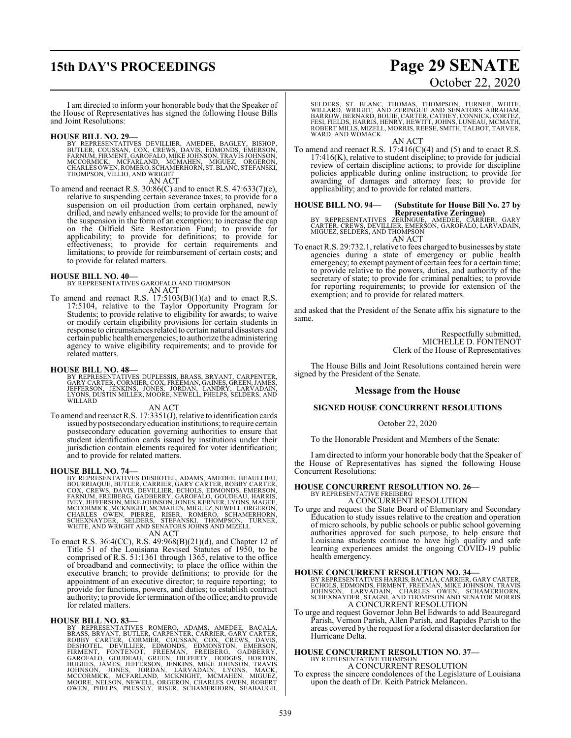# **15th DAY'S PROCEEDINGS Page 29 SENATE**

# October 22, 2020

I am directed to inform your honorable body that the Speaker of the House of Representatives has signed the following House Bills and Joint Resolutions:

#### **HOUSE BILL NO. 29—**

BY REPRESENTATIVES DEVILLIER, AMEDEE, BAGLEY, BISHOP,<br>BUTLER, COUSSAN, COX, CREWS, DAVIS, EDMONDS, EMERSON,<br>FARNUM,FIRMENT,GAROFALO,MIKE JOHNSON,TRAVISJOHNSON,<br>MCCORMICK, MCFARLAND, MCMAHEN, MIGUEZ, ORGERON,<br>CHARLESOWEN,RO AN ACT

To amend and reenact R.S. 30:86(C) and to enact R.S. 47:633(7)(e), relative to suspending certain severance taxes; to provide for a suspension on oil production from certain orphaned, newly drilled, and newly enhanced wells; to provide for the amount of the suspension in the form of an exemption; to increase the cap on the Oilfield Site Restoration Fund; to provide for applicability; to provide for definitions; to provide for effectiveness; to provide for certain requirements and limitations; to provide for reimbursement of certain costs; and to provide for related matters.

#### **HOUSE BILL NO. 40—**

BY REPRESENTATIVES GAROFALO AND THOMPSON AN ACT

To amend and reenact R.S. 17:5103(B)(1)(a) and to enact R.S. 17:5104, relative to the Taylor Opportunity Program for Students; to provide relative to eligibility for awards; to waive or modify certain eligibility provisions for certain students in response to circumstances related to certain natural disasters and certain public health emergencies; to authorize the administering agency to waive eligibility requirements; and to provide for related matters.

#### **HOUSE BILL NO. 48—**

BY REPRESENTATIVES DUPLESSIS, BRASS, BRYANT, CARPENTER, GARY CARTER, CORMIER, COX, FREEMAN, GAINES, GREEN, JAMES, JEFFERSON, JENKINS, JONES, JORDAN, LANDRY, LARVADAIN, LYONS, DUSTIN MILLER, MOORE, NEWELL, PHELPS, SELDERS, AND WILLARD

#### AN ACT

To amend and reenact R.S. 17:3351(J), relative to identification cards issued by postsecondaryeducation institutions; to require certain postsecondary education governing authorities to ensure that student identification cards issued by institutions under their jurisdiction contain elements required for voter identification; and to provide for related matters.

#### **HOUSE BILL NO. 74—**

BY REPRESENTATIVES DESHOTEL, ADAMS, AMEDEE, BEAULLIEU,<br>BOURRIAQUE, BUTLER, CARRIER, GARY CARTER, ROBBY CARTER,<br>COX, CREWS, DAVIS, DEVILLIER, ECHOLS, EDMONDS, EMERSON,<br>FARNUM, FREIBERG, GADBERRY, GAROFALO, GOUDEAU, HARRIS,<br> MCCORMICK, MCKNIGHT, MCMAHEN, MIGUEZ, NEWELL, ORGERON,<br>CHARLES OWEN, PIERRE, RISER, ROMERO, SCHAMERHORN,<br>SCHEXNAYDER, SELDERS, STEFANSKI, THOMPSON, TURNER,<br>WHITE, AND WRIGHT AND SENATORS J

### AN ACT

To enact R.S. 36:4(CC), R.S. 49:968(B)(21)(d), and Chapter 12 of Title 51 of the Louisiana Revised Statutes of 1950, to be comprised of R.S. 51:1361 through 1365, relative to the office of broadband and connectivity; to place the office within the executive branch; to provide definitions; to provide for the appointment of an executive director; to require reporting; to provide for functions, powers, and duties; to establish contract authority; to provide for termination ofthe office; and to provide for related matters.

HOUSE BILL NO. 83-<br>BY REPRESENTATIVES ROMERO, ADAMS, AMEDEE, BACALA,<br>BRASS, BRYANT, BUTLER, CARPENTER, CARRIER, GARY CARTER,<br>ROBBY CARTER, CORMIER, EDMONDS, EDMONSTON, EMERSON,<br>FIRMENT, FONTENOT, FREEMAN, FREIBERG, GADBERR

SELDERS, ST. BLANC, THOMAS, THOMPSON, TURNER, WHITE,<br>WILLARD, WRIGHT, AND ZERINGUE AND SENATORS ABRAHAM,<br>BARROW, BERNARD, BOUIE,CARTER,CATHEY,CONNICK,CORTEZ,<br>FESI,FIELDS,HARRIS,HENRY,HEWITT,JOHNS,LUNEAU,MCMATH,<br>ROBERT MILL

AN ACT

To amend and reenact R.S. 17:416(C)(4) and (5) and to enact R.S. 17:416(K), relative to student discipline; to provide for judicial review of certain discipline actions; to provide for discipline policies applicable during online instruction; to provide for awarding of damages and attorney fees; to provide for applicability; and to provide for related matters.

# **HOUSE BILL NO. 94— (Substitute for House Bill No. 27 by**

**REPRESENTATIVES REPRESENTATIVES REPRESENTATIVES AMEDEE, CARRIER, GARY<br>CARTER, CREWS, DEVILLIER, EMERSON, GAROFALO, LARVADAIN,<br>MIGUEZ, SELDERS, AND THOMPSON** AN ACT

To enact R.S. 29:732.1, relative to fees charged to businesses by state agencies during a state of emergency or public health emergency; to exempt payment of certain fees for a certain time; to provide relative to the powers, duties, and authority of the secretary of state; to provide for criminal penalties; to provide for reporting requirements; to provide for extension of the exemption; and to provide for related matters.

and asked that the President of the Senate affix his signature to the same.

> Respectfully submitted, MICHELLE D. FONTENOT Clerk of the House of Representatives

The House Bills and Joint Resolutions contained herein were signed by the President of the Senate.

#### **Message from the House**

#### **SIGNED HOUSE CONCURRENT RESOLUTIONS**

#### October 22, 2020

To the Honorable President and Members of the Senate:

I am directed to inform your honorable body that the Speaker of the House of Representatives has signed the following House Concurrent Resolutions:

#### **HOUSE CONCURRENT RESOLUTION NO. 26—** BY REPRESENTATIVE FREIBERG

A CONCURRENT RESOLUTION

To urge and request the State Board of Elementary and Secondary Education to study issues relative to the creation and operation of micro schools, by public schools or public school governing authorities approved for such purpose, to help ensure that Louisiana students continue to have high quality and safe learning experiences amidst the ongoing COVID-19 public health emergency.

#### **HOUSE CONCURRENT RESOLUTION NO. 34—**

BY REPRESENTATIVES HARRIS, BACALA, CARRIER, GARY CARTER,<br>ECHOLS, EDMONDS, FIRMENT, FREEMAN, MIKE JOHNSON, TRAVIS<br>JOHNSON, LARVADAIN, CHARLES OWEN, SCHAMERHORN,<br>SCHEXNAYDER, STAGNI, AND THOMPSON AND SENATOR MOR A CONCURRENT RESOLUTION

To urge and request Governor John Bel Edwards to add Beauregard Parish, Vernon Parish, Allen Parish, and Rapides Parish to the areas covered by the request for a federal disaster declaration for Hurricane Delta.

#### **HOUSE CONCURRENT RESOLUTION NO. 37—** BY REPRESENTATIVE THOMPSON

A CONCURRENT RESOLUTION

To express the sincere condolences of the Legislature of Louisiana upon the death of Dr. Keith Patrick Melancon.